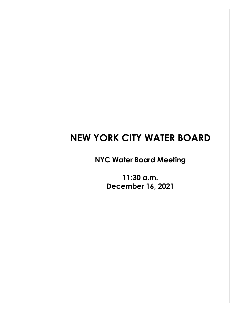## **NEW YORK CITY WATER BOARD**

**NYC Water Board Meeting**

**11:30 a.m. December 16, 2021**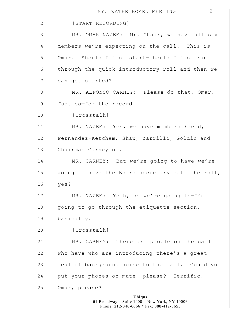| $\mathbf 1$     | 2<br>NYC WATER BOARD MEETING                                                                              |
|-----------------|-----------------------------------------------------------------------------------------------------------|
| $\mathbf{2}$    | [START RECORDING]                                                                                         |
| $\mathcal{S}$   | MR. OMAR NAZEM: Mr. Chair, we have all six                                                                |
| 4               | members we're expecting on the call. This is                                                              |
| 5               | Omar. Should I just start-should I just run                                                               |
| $6\,$           | through the quick introductory roll and then we                                                           |
| $7\phantom{.0}$ | can get started?                                                                                          |
| $\,8\,$         | MR. ALFONSO CARNEY: Please do that, Omar.                                                                 |
| $\mathsf 9$     | Just so-for the record.                                                                                   |
| 10              | [Crosstalk]                                                                                               |
| 11              | MR. NAZEM: Yes, we have members Freed,                                                                    |
| 12              | Fernandez-Ketcham, Shaw, Zarrilli, Goldin and                                                             |
| 13              | Chairman Carney on.                                                                                       |
| 14              | MR. CARNEY: But we're going to have-we're                                                                 |
| 15              | going to have the Board secretary call the roll,                                                          |
| 16              | yes?                                                                                                      |
| 17              | MR. NAZEM: Yeah, so we're going to-I'm                                                                    |
| 18              | going to go through the etiquette section,                                                                |
| 19              | basically.                                                                                                |
| 20              | [Crosstalk]                                                                                               |
| 21              | MR. CARNEY: There are people on the call                                                                  |
| 22              | who have-who are introducing-there's a great                                                              |
| 23              | deal of background noise to the call. Could you                                                           |
| 24              | put your phones on mute, please? Terrific.                                                                |
| 25              | Omar, please?                                                                                             |
|                 | <b>Ubiqus</b><br>61 Broadway - Suite 1400 - New York, NY 10006<br>Phone: 212-346-6666 * Fax: 888-412-3655 |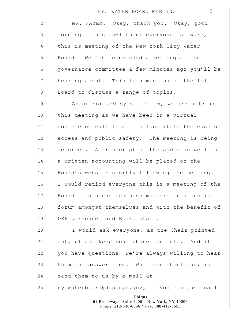| $\mathbf 1$     | 3<br>NYC WATER BOARD MEETING                                                                              |
|-----------------|-----------------------------------------------------------------------------------------------------------|
| $\mathbf{2}$    | MR. NAZEM: Okay, thank you. Okay, good                                                                    |
| $\mathfrak{Z}$  | morning. This is-I think everyone is aware,                                                               |
| $\overline{4}$  | this is meeting of the New York City Water                                                                |
| 5               | Board. We just concluded a meeting at the                                                                 |
| 6               | governance committee a few minutes ago you'll be                                                          |
| $7\phantom{.0}$ | hearing about. This is a meeting of the full                                                              |
| $8\,$           | Board to discuss a range of topics.                                                                       |
| $\mathsf 9$     | As authorized by state law, we are holding                                                                |
| 10              | this meeting as we have been in a virtual                                                                 |
| 11              | conference call format to facilitate the ease of                                                          |
| 12              | access and public safety. The meeting is being                                                            |
| 13              | recorded. A transcript of the audio as well as                                                            |
| 14              | a written accounting will be placed on the                                                                |
| 15              | Board's website shortly following the meeting.                                                            |
| 16              | I would remind everyone this is a meeting of the                                                          |
| 17              | Board to discuss business matters in a public                                                             |
| 18              | forum amongst themselves and with the benefit of                                                          |
| 19              | DEP personnel and Board staff.                                                                            |
| 20              | I would ask everyone, as the Chair pointed                                                                |
| 21              | out, please keep your phones on mute. And if                                                              |
| 22              | you have questions, we're always willing to hear                                                          |
| 23              | them and answer them. What you should do, is to                                                           |
| 24              | send them to us by e-mail at                                                                              |
| 25              | nycwaterboard@dep.nyc.gov, or you can just call                                                           |
|                 | <b>Ubiqus</b><br>61 Broadway - Suite 1400 - New York, NY 10006<br>Phone: 212-346-6666 * Fax: 888-412-3655 |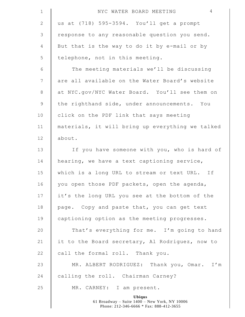| $\mathbf 1$     | $\overline{4}$<br>NYC WATER BOARD MEETING                                                                 |
|-----------------|-----------------------------------------------------------------------------------------------------------|
| 2               | us at (718) 595-3594. You'll get a prompt                                                                 |
| 3               | response to any reasonable question you send.                                                             |
| 4               | But that is the way to do it by e-mail or by                                                              |
| 5               | telephone, not in this meeting.                                                                           |
| $\sqrt{6}$      | The meeting materials we'll be discussing                                                                 |
| $7\phantom{.0}$ | are all available on the Water Board's website                                                            |
| 8               | at NYC.gov/NYC Water Board. You'll see them on                                                            |
| $\mathsf 9$     | the righthand side, under announcements. You                                                              |
| 10              | click on the PDF link that says meeting                                                                   |
| 11              | materials, it will bring up everything we talked                                                          |
| 12              | about.                                                                                                    |
| 13              | If you have someone with you, who is hard of                                                              |
| 14              | hearing, we have a text captioning service,                                                               |
| 15              | which is a long URL to stream or text URL. If                                                             |
| 16              | you open those PDF packets, open the agenda,                                                              |
| 17              | it's the long URL you see at the bottom of the                                                            |
| 18              | page. Copy and paste that, you can get text                                                               |
| 19              | captioning option as the meeting progresses.                                                              |
| 20              | That's everything for me. I'm going to hand                                                               |
| 21              | it to the Board secretary, Al Rodriguez, now to                                                           |
| 22              | call the formal roll. Thank you.                                                                          |
| 23              | MR. ALBERT RODRIGUEZ: Thank you, Omar. I'm                                                                |
| 24              | calling the roll. Chairman Carney?                                                                        |
| 25              | MR. CARNEY: I am present.                                                                                 |
|                 | <b>Ubiqus</b><br>61 Broadway - Suite 1400 - New York, NY 10006<br>Phone: 212-346-6666 * Fax: 888-412-3655 |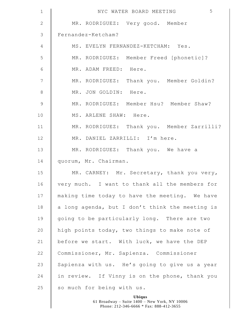| $\mathbf 1$    | 5<br>NYC WATER BOARD MEETING                    |
|----------------|-------------------------------------------------|
| $\mathbf{2}$   | MR. RODRIGUEZ: Very good. Member                |
| $\mathcal{S}$  | Fernandez-Ketcham?                              |
| $\overline{4}$ | MS. EVELYN FERNANDEZ-KETCHAM: Yes.              |
| 5              | MR. RODRIGUEZ: Member Freed [phonetic]?         |
| $\epsilon$     | MR. ADAM FREED: Here.                           |
| $\overline{7}$ | MR. RODRIGUEZ: Thank you. Member Goldin?        |
| $\,8\,$        | MR. JON GOLDIN: Here.                           |
| $\mathcal{G}$  | MR. RODRIGUEZ: Member Hsu? Member Shaw?         |
| 10             | MS. ARLENE SHAW: Here.                          |
| 11             | MR. RODRIGUEZ: Thank you. Member Zarrilli?      |
| 12             | MR. DANIEL ZARRILLI: I'm here.                  |
| 13             | MR. RODRIGUEZ: Thank you. We have a             |
| 14             | quorum, Mr. Chairman.                           |
| 15             | MR. CARNEY: Mr. Secretary, thank you very,      |
| 16             | very much. I want to thank all the members for  |
| 17             | making time today to have the meeting. We have  |
| 18             | a long agenda, but I don't think the meeting is |
| 19             | going to be particularly long. There are two    |
| 20             | high points today, two things to make note of   |
| 21             | before we start. With luck, we have the DEP     |
| 22             | Commissioner, Mr. Sapienza. Commissioner        |
| 23             | Sapienza with us. He's going to give us a year  |
| 24             | in review. If Vinny is on the phone, thank you  |
| 25             | so much for being with us.                      |
|                | Ubiqus                                          |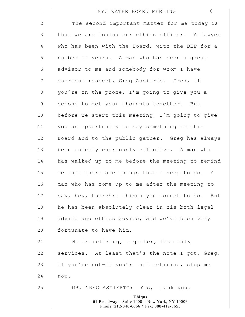| $1\,$       | 6<br>NYC WATER BOARD MEETING                                                                              |
|-------------|-----------------------------------------------------------------------------------------------------------|
| 2           | The second important matter for me today is                                                               |
| 3           | that we are losing our ethics officer. A lawyer                                                           |
| 4           | who has been with the Board, with the DEP for a                                                           |
| 5           | number of years. A man who has been a great                                                               |
| 6           | advisor to me and somebody for whom I have                                                                |
| 7           | enormous respect, Greg Ascierto. Greg, if                                                                 |
| $\,8\,$     | you're on the phone, I'm going to give you a                                                              |
| $\mathsf 9$ | second to get your thoughts together. But                                                                 |
| 10          | before we start this meeting, I'm going to give                                                           |
| 11          | you an opportunity to say something to this                                                               |
| 12          | Board and to the public gather. Greg has always                                                           |
| 13          | been quietly enormously effective. A man who                                                              |
| 14          | has walked up to me before the meeting to remind                                                          |
| 15          | me that there are things that I need to do. A                                                             |
| 16          | man who has come up to me after the meeting to                                                            |
| 17          | say, hey, there're things you forgot to do. But                                                           |
| 18          | he has been absolutely clear in his both legal                                                            |
| 19          | advice and ethics advice, and we've been very                                                             |
| 20          | fortunate to have him.                                                                                    |
| 21          | He is retiring, I gather, from city                                                                       |
| 22          | services. At least that's the note I got, Greg.                                                           |
| 23          | If you're not-if you're not retiring, stop me                                                             |
| 24          | now.                                                                                                      |
| 25          | MR. GREG ASCIERTO: Yes, thank you.                                                                        |
|             | <b>Ubiqus</b><br>61 Broadway - Suite 1400 - New York, NY 10006<br>Phone: 212-346-6666 * Fax: 888-412-3655 |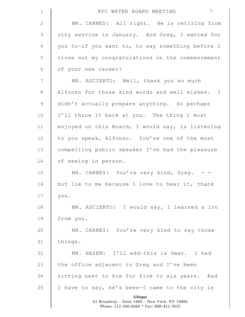| $\mathbf 1$     | $7\phantom{.0}$<br>NYC WATER BOARD MEETING                                                                |
|-----------------|-----------------------------------------------------------------------------------------------------------|
| $\mathbf{2}$    | MR. CARNEY: All right. He is retiring from                                                                |
| $\mathsf 3$     | city service in January. And Greg, I wanted for                                                           |
| 4               | you to-if you want to, to say something before I                                                          |
| 5               | close out my congratulations on the commencement                                                          |
| $\sqrt{6}$      | of your new career?                                                                                       |
| $7\phantom{.0}$ | MR. ASCIERTO: Well, thank you so much                                                                     |
| $\,8\,$         | Alfonso for those kind words and well wishes. I                                                           |
| $\mathsf 9$     | didn't actually prepare anything. So perhaps                                                              |
| 10              | I'll throw it back at you. The thing I most                                                               |
| 11              | enjoyed on this Board, I would say, is listening                                                          |
| 12              | to you speak, Alfonso. You're one of the most                                                             |
| 13              | compelling public speaker I've had the pleasure                                                           |
| 14              | of seeing in person.                                                                                      |
| 15              | MR. CARNEY: You're very kind, Greg. - -                                                                   |
| 16              | but lie to me because I love to hear it, thank                                                            |
| 17              | you.                                                                                                      |
| 18              | MR. ASCIERTO: I would say, I learned a lot                                                                |
| 19              | from you.                                                                                                 |
| 20              | MR. CARNEY: You're very kind to say those                                                                 |
| 21              | things.                                                                                                   |
| 22              | MR. NAZEM: I'll add-this is Omar. I had                                                                   |
| 23              | the office adjacent to Greg and I've been                                                                 |
| 24              | sitting next to him for five to six years. And                                                            |
| 25              | I have to say, he's been-I came to the city in                                                            |
|                 | <b>Ubiqus</b><br>61 Broadway - Suite 1400 - New York, NY 10006<br>Phone: 212-346-6666 * Fax: 888-412-3655 |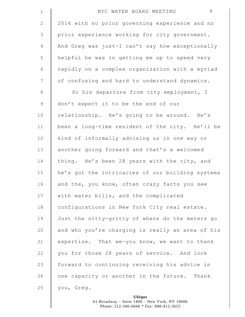| $\mathbf 1$    | 8<br>NYC WATER BOARD MEETING                     |
|----------------|--------------------------------------------------|
| $\mathbf{2}$   | 2016 with no prior governing experience and no   |
| $\mathfrak{Z}$ | prior experience working for city government.    |
| 4              | And Greg was just-I can't say how exceptionally  |
| 5              | helpful he was in getting me up to speed very    |
| 6              | rapidly on a complex organization with a myriad  |
| 7              | of confusing and hard to understand dynamics.    |
| $8\,$          | So his departure from city employment, I         |
| $\mathsf 9$    | don't expect it to be the end of our             |
| 10             | relationship. He's going to be around. He's      |
| 11             | been a long-time resident of the city. He'll be  |
| 12             | kind of informally advising us in one way or     |
| 13             | another going forward and that's a welcomed      |
| 14             | thing. He's been 28 years with the city, and     |
| 15             | he's got the intricacies of our building systems |
| 16             | and the, you know, often crazy facts you see     |
| 17             | with water bills, and the complicated            |
| 18             | configurations in New York City real estate.     |
| 19             | Just the nitty-gritty of where do the meters go  |
| 20             | and who you're charging is really an area of his |
| 21             | expertise. That we-you know, we want to thank    |
| 22             | you for those 28 years of service. And look      |
| 23             | forward to continuing receiving his advice in    |
| 24             | one capacity or another in the future. Thank     |
| 25             | you, Greg.                                       |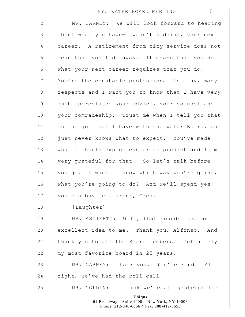| $\mathbf 1$    | 9<br>NYC WATER BOARD MEETING                                                                              |
|----------------|-----------------------------------------------------------------------------------------------------------|
| $\mathbf{2}$   | MR. CARNEY: We will look forward to hearing                                                               |
| $\mathsf 3$    | about what you have-I wasn't kidding, your next                                                           |
| 4              | career. A retirement from city service does not                                                           |
| 5              | mean that you fade away. It means that you do                                                             |
| 6              | what your next career requires that you do.                                                               |
| $\overline{7}$ | You're the constable professional in many, many                                                           |
| $8\,$          | respects and I want you to know that I have very                                                          |
| $\mathsf 9$    | much appreciated your advice, your counsel and                                                            |
| 10             | your comradeship. Trust me when I tell you that                                                           |
| 11             | in the job that I have with the Water Board, one                                                          |
| 12             | just never knows what to expect. You've made                                                              |
| 13             | what I should expect easier to predict and I am                                                           |
| 14             | very grateful for that. So let's talk before                                                              |
| 15             | you go. I want to know which way you're going,                                                            |
| 16             | what you're going to do? And we'll spend-yes,                                                             |
| 17             | you can buy me a drink, Greg.                                                                             |
| 18             | [Laughter]                                                                                                |
| 19             | MR. ASCIERTO: Well, that sounds like an                                                                   |
| 20             | excellent idea to me. Thank you, Alfonso. And                                                             |
| 21             | thank you to all the Board members. Definitely                                                            |
| 22             | my most favorite board in 28 years.                                                                       |
| 23             | MR. CARNEY: Thank you. You're kind. All                                                                   |
| 24             | right, we've had the roll call-                                                                           |
| 25             | MR. GOLDIN: I think we're all grateful for                                                                |
|                | <b>Ubiqus</b><br>61 Broadway - Suite 1400 - New York, NY 10006<br>Phone: 212-346-6666 * Fax: 888-412-3655 |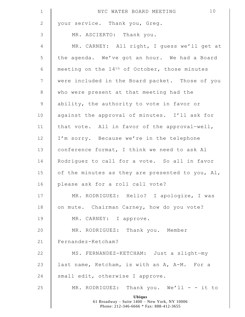| $\mathbf 1$     | 10<br>NYC WATER BOARD MEETING                                                                             |
|-----------------|-----------------------------------------------------------------------------------------------------------|
| $\mathbf{2}$    | your service. Thank you, Greg.                                                                            |
| $\mathcal{S}$   | MR. ASCIERTO: Thank you.                                                                                  |
| $\overline{4}$  | MR. CARNEY: All right, I guess we'll get at                                                               |
| 5               | the agenda. We've got an hour. We had a Board                                                             |
| $\epsilon$      | meeting on the 14 <sup>th</sup> of October, those minutes                                                 |
| $7\phantom{.0}$ | were included in the Board packet. Those of you                                                           |
| 8               | who were present at that meeting had the                                                                  |
| $\mathsf 9$     | ability, the authority to vote in favor or                                                                |
| 10              | against the approval of minutes. I'll ask for                                                             |
| 11              | that vote. All in favor of the approval-well,                                                             |
| 12              | I'm sorry. Because we're in the telephone                                                                 |
| 13              | conference format, I think we need to ask Al                                                              |
| 14              | Rodriguez to call for a vote. So all in favor                                                             |
| 15              | of the minutes as they are presented to you, Al,                                                          |
| 16              | please ask for a roll call vote?                                                                          |
| 17              | MR. RODRIGUEZ: Hello? I apologize, I was                                                                  |
| 18              | on mute. Chairman Carney, how do you vote?                                                                |
| 19              | MR. CARNEY: I approve.                                                                                    |
| 20              | MR. RODRIGUEZ: Thank you. Member                                                                          |
| 21              | Fernandez-Ketcham?                                                                                        |
| 22              | MS. FERNANDEZ-KETCHAM: Just a slight-my                                                                   |
| 23              | last name, Ketcham, is with an A, A-M. For a                                                              |
| 24              | small edit, otherwise I approve.                                                                          |
| 25              | MR. RODRIGUEZ: Thank you. We'll - - it to                                                                 |
|                 | <b>Ubiqus</b><br>61 Broadway - Suite 1400 - New York, NY 10006<br>Phone: 212-346-6666 * Fax: 888-412-3655 |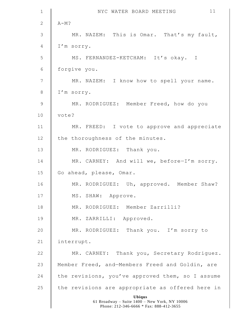| $\mathbf 1$    | 11<br>NYC WATER BOARD MEETING                                                                             |
|----------------|-----------------------------------------------------------------------------------------------------------|
| 2              | $A-M?$                                                                                                    |
| $\mathcal{S}$  | MR. NAZEM: This is Omar. That's my fault,                                                                 |
| $\overline{4}$ | I'm sorry.                                                                                                |
| 5              | MS. FERNANDEZ-KETCHAM: It's okay. I                                                                       |
| 6              | forgive you.                                                                                              |
| 7              | MR. NAZEM: I know how to spell your name.                                                                 |
| $\,8\,$        | I'm sorry.                                                                                                |
| $\overline{9}$ | MR. RODRIGUEZ: Member Freed, how do you                                                                   |
| 10             | vote?                                                                                                     |
| 11             | MR. FREED: I vote to approve and appreciate                                                               |
| 12             | the thoroughness of the minutes.                                                                          |
| 13             | MR. RODRIGUEZ: Thank you.                                                                                 |
| 14             | MR. CARNEY: And will we, before-I'm sorry.                                                                |
| 15             | Go ahead, please, Omar.                                                                                   |
| 16             | MR. RODRIGUEZ: Uh, approved. Member Shaw?                                                                 |
| 17             | MS. SHAW: Approve.                                                                                        |
| 18             | MR. RODRIGUEZ: Member Zarrilli?                                                                           |
| 19             | MR. ZARRILLI: Approved.                                                                                   |
| 20             | MR. RODRIGUEZ: Thank you. I'm sorry to                                                                    |
| 21             | interrupt.                                                                                                |
| 22             | MR. CARNEY: Thank you, Secretary Rodriguez.                                                               |
| 23             | Member Freed, and-Members Freed and Goldin, are                                                           |
| 24             | the revisions, you've approved them, so I assume                                                          |
| 25             | the revisions are appropriate as offered here in                                                          |
|                | <b>Ubiqus</b><br>61 Broadway - Suite 1400 - New York, NY 10006<br>Phone: 212-346-6666 * Fax: 888-412-3655 |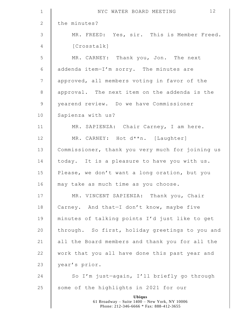| $\mathbf 1$    | 12<br>NYC WATER BOARD MEETING                                                                             |
|----------------|-----------------------------------------------------------------------------------------------------------|
| $\mathbf{2}$   | the minutes?                                                                                              |
| $\mathsf 3$    | MR. FREED: Yes, sir. This is Member Freed.                                                                |
| $\overline{4}$ | [Crosstalk]                                                                                               |
| 5              | MR. CARNEY: Thank you, Jon. The next                                                                      |
| $\epsilon$     | addenda item-I'm sorry. The minutes are                                                                   |
| $\overline{7}$ | approved, all members voting in favor of the                                                              |
| $\,8\,$        | approval. The next item on the addenda is the                                                             |
| $\mathcal{G}$  | yearend review. Do we have Commissioner                                                                   |
| 10             | Sapienza with us?                                                                                         |
| 11             | MR. SAPIENZA: Chair Carney, I am here.                                                                    |
| 12             | MR. CARNEY: Hot d**n. [Laughter]                                                                          |
| 13             | Commissioner, thank you very much for joining us                                                          |
| 14             | today. It is a pleasure to have you with us.                                                              |
| 15             | Please, we don't want a long oration, but you                                                             |
| 16             | may take as much time as you choose.                                                                      |
| 17             | MR. VINCENT SAPIENZA: Thank you, Chair                                                                    |
| 18             | Carney. And that-I don't know, maybe five                                                                 |
| 19             | minutes of talking points I'd just like to get                                                            |
| 20             | through. So first, holiday greetings to you and                                                           |
| 21             | all the Board members and thank you for all the                                                           |
| 22             | work that you all have done this past year and                                                            |
| 23             | year's prior.                                                                                             |
| 24             | So I'm just-again, I'll briefly go through                                                                |
| 25             | some of the highlights in 2021 for our                                                                    |
|                | <b>Ubiqus</b><br>61 Broadway - Suite 1400 - New York, NY 10006<br>Phone: 212-346-6666 * Fax: 888-412-3655 |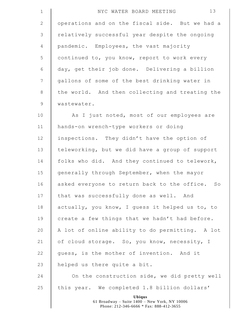| $\mathbf 1$  | 13<br>NYC WATER BOARD MEETING                      |
|--------------|----------------------------------------------------|
| $\mathbf{2}$ | operations and on the fiscal side. But we had a    |
| 3            | relatively successful year despite the ongoing     |
| 4            | pandemic. Employees, the vast majority             |
| 5            | continued to, you know, report to work every       |
| $\epsilon$   | day, get their job done. Delivering a billion      |
| 7            | gallons of some of the best drinking water in      |
| 8            | the world. And then collecting and treating the    |
| $\mathsf 9$  | wastewater.                                        |
| 10           | As I just noted, most of our employees are         |
| 11           | hands-on wrench-type workers or doing              |
| 12           | inspections. They didn't have the option of        |
| 13           | teleworking, but we did have a group of support    |
| 14           | folks who did. And they continued to telework,     |
| 15           | generally through September, when the mayor        |
| 16           | asked everyone to return back to the office.<br>SO |
| 17           | that was successfully done as well. And            |
| 18           | actually, you know, I guess it helped us to, to    |
| 19           | create a few things that we hadn't had before.     |
| 20           | A lot of online ability to do permitting. A lot    |
| 21           | of cloud storage. So, you know, necessity, I       |
| 22           | guess, is the mother of invention. And it          |
| 23           | helped us there quite a bit.                       |
| 24           | On the construction side, we did pretty well       |
| 25           | this year. We completed 1.8 billion dollars'       |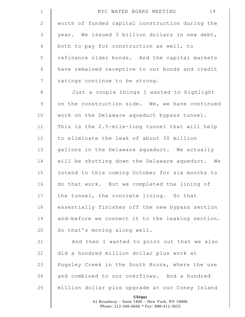| $1\,$          | 14<br>NYC WATER BOARD MEETING                    |
|----------------|--------------------------------------------------|
| $\mathbf{2}$   | worth of funded capital construction during the  |
| $\mathfrak{Z}$ | year. We issued 3 billion dollars in new debt,   |
| $\overline{4}$ | both to pay for construction as well, to         |
| 5              | refinance older bonds. And the capital markets   |
| $\sqrt{6}$     | have remained receptive to our bonds and credit  |
| $\overline{7}$ | ratings continue to be strong.                   |
| $\,8\,$        | Just a couple things I wanted to highlight       |
| $\mathsf 9$    | on the construction side. We, we have continued  |
| 10             | work on the Delaware aqueduct bypass tunnel.     |
| 11             | This is the 2.5-mile-long tunnel that will help  |
| 12             | to eliminate the leak of about 30 million        |
| 13             | gallons in the Delaware aqueduct. We actually    |
| 14             | will be shutting down the Delaware aqueduct. We  |
| 15             | intend to this coming October for six months to  |
| 16             | do that work. But we completed the lining of     |
| 17             |                                                  |
|                | the tunnel, the concrete lining. So that         |
| 18             | essentially finishes off the new bypass section  |
| 19             | and-before we connect it to the leaking section. |
| 20             | So that's moving along well.                     |
| 21             | And then I wanted to point out that we also      |
| 22             | did a hundred million dollar plus work at        |
| 23             | Pugsley Creek in the South Bronx, where the use  |
| 24             | and combined to our overflows. And a hundred     |
| 25             | million dollar plus upgrade at our Coney Island  |

 $\mathsf I$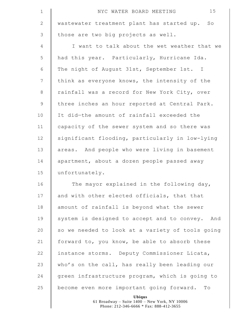| $\mathbf 1$     | 15<br>NYC WATER BOARD MEETING                                |
|-----------------|--------------------------------------------------------------|
| 2               | wastewater treatment plant has started up.<br>$S_{\bigcirc}$ |
| $\mathfrak{Z}$  | those are two big projects as well.                          |
| $\overline{4}$  | I want to talk about the wet weather that we                 |
| 5               | had this year. Particularly, Hurricane Ida.                  |
| 6               | The night of August 31st, September 1st. I                   |
| $7\phantom{.0}$ | think as everyone knows, the intensity of the                |
| 8               | rainfall was a record for New York City, over                |
| $\overline{9}$  | three inches an hour reported at Central Park.               |
| 10              | It did-the amount of rainfall exceeded the                   |
| 11              | capacity of the sewer system and so there was                |
| 12              | significant flooding, particularly in low-lying              |
| 13              | areas. And people who were living in basement                |
| 14              | apartment, about a dozen people passed away                  |
| 15              | unfortunately.                                               |
| 16              | The mayor explained in the following day,                    |
| 17              | and with other elected officials, that that                  |
| 18              | amount of rainfall is beyond what the sewer                  |
| 19              | system is designed to accept and to convey. And              |
| 20              | so we needed to look at a variety of tools going             |
| 21              | forward to, you know, be able to absorb these                |
| 22              | instance storms. Deputy Commissioner Licata,                 |
| 23              | who's on the call, has really been leading our               |
| 24              | green infrastructure program, which is going to              |
| 25              | become even more important going forward. To                 |
|                 | Ubiqus                                                       |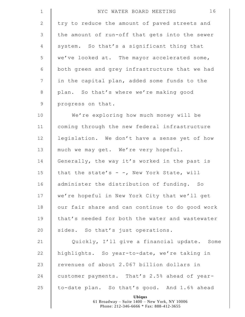| $\mathbf{1}$    | 16<br>NYC WATER BOARD MEETING                                                                             |
|-----------------|-----------------------------------------------------------------------------------------------------------|
| $\mathbf{2}$    | try to reduce the amount of paved streets and                                                             |
| 3               | the amount of run-off that gets into the sewer                                                            |
| 4               | system. So that's a significant thing that                                                                |
| 5               | we've looked at. The mayor accelerated some,                                                              |
| 6               | both green and grey infrastructure that we had                                                            |
| $7\phantom{.0}$ | in the capital plan, added some funds to the                                                              |
| $\,8\,$         | plan. So that's where we're making good                                                                   |
| $\mathsf 9$     | progress on that.                                                                                         |
| 10              | We're exploring how much money will be                                                                    |
| 11              | coming through the new federal infrastructure                                                             |
| 12              | legislation. We don't have a sense yet of how                                                             |
| 13              | much we may get. We're very hopeful.                                                                      |
| 14              | Generally, the way it's worked in the past is                                                             |
| 15              | that the state's - -, New York State, will                                                                |
| 16              | administer the distribution of funding. So                                                                |
| 17              | we're hopeful in New York City that we'll get                                                             |
| 18              | our fair share and can continue to do good work                                                           |
| 19              | that's needed for both the water and wastewater                                                           |
| 20              | sides. So that's just operations.                                                                         |
| 21              | Quickly, I'll give a financial update. Some                                                               |
| 22              | highlights. So year-to-date, we're taking in                                                              |
| 23              | revenues of about 2.067 billion dollars in                                                                |
| 24              | customer payments. That's 2.5% ahead of year-                                                             |
| 25              | to-date plan. So that's good. And 1.6% ahead                                                              |
|                 | <b>Ubiqus</b><br>61 Broadway - Suite 1400 - New York, NY 10006<br>Phone: 212-346-6666 * Fax: 888-412-3655 |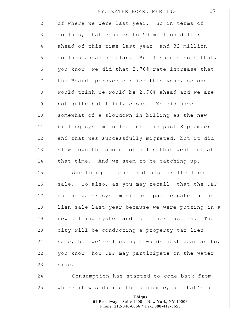| $1\,$           | 17<br>NYC WATER BOARD MEETING                                                                             |
|-----------------|-----------------------------------------------------------------------------------------------------------|
| $\mathbf{2}$    | of where we were last year. So in terms of                                                                |
| $\mathfrak{Z}$  | dollars, that equates to 50 million dollars                                                               |
| $\overline{4}$  | ahead of this time last year, and 32 million                                                              |
| 5               | dollars ahead of plan. But I should note that,                                                            |
| 6               | you know, we did that 2.76% rate increase that                                                            |
| $7\phantom{.0}$ | the Board approved earlier this year, so one                                                              |
| 8               | would think we would be 2.76% ahead and we are                                                            |
| $\mathsf 9$     | not quite but fairly close. We did have                                                                   |
| 10              | somewhat of a slowdown in billing as the new                                                              |
| 11              | billing system rolled out this past September                                                             |
| 12              | and that was successfully migrated, but it did                                                            |
| 13              | slow down the amount of bills that went out at                                                            |
| 14              | that time. And we seem to be catching up.                                                                 |
| 15              | One thing to point out also is the lien                                                                   |
| 16              | sale. So also, as you may recall, that the DEP                                                            |
| 17              | on the water system did not participate in the                                                            |
| 18              | lien sale last year because we were putting in a                                                          |
| 19              | new billing system and for other factors. The                                                             |
| 20              | city will be conducting a property tax lien                                                               |
| 21              | sale, but we're looking towards next year as to,                                                          |
| 22              | you know, how DEP may participate on the water                                                            |
| 23              | side.                                                                                                     |
| 24              | Consumption has started to come back from                                                                 |
| 25              | where it was during the pandemic, so that's a                                                             |
|                 | <b>Ubiqus</b><br>61 Broadway - Suite 1400 - New York, NY 10006<br>Phone: 212-346-6666 * Fax: 888-412-3655 |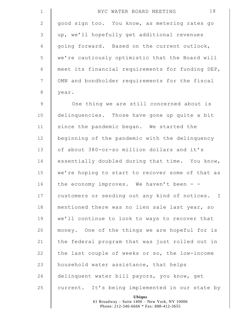| $\mathbf 1$     | 18<br>NYC WATER BOARD MEETING                    |
|-----------------|--------------------------------------------------|
| $\mathbf{2}$    | good sign too. You know, as metering rates go    |
| $\mathcal{S}$   | up, we'll hopefully get additional revenues      |
| 4               | going forward. Based on the current outlook,     |
| 5               | we're cautiously optimistic that the Board will  |
| 6               | meet its financial requirements for funding DEP, |
| $7\phantom{.0}$ | OMN and bondholder requirements for the fiscal   |
| $\,8\,$         | year.                                            |
| $\mathcal{G}$   | One thing we are still concerned about is        |
| 10              | delinquencies. Those have gone up quite a bit    |
| 11              | since the pandemic began. We started the         |
| 12              | beginning of the pandemic with the delinquency   |
| 13              | of about 380-or-so million dollars and it's      |
| 14              | essentially doubled during that time. You know,  |
| 15              | we're hoping to start to recover some of that as |
| 16              | the economy improves. We haven't been -          |
| 17              | customers or sending out any kind of notices. I  |
| 18              | mentioned there was no lien sale last year, so   |
| 19              | we'll continue to look to ways to recover that   |
| 20              | money. One of the things we are hopeful for is   |
| 21              | the federal program that was just rolled out in  |
| 22              | the last couple of weeks or so, the low-income   |
| 23              | household water assistance, that helps           |
| 24              | delinquent water bill payors, you know, get      |
| 25              | current. It's being implemented in our state by  |
|                 | Ubiqus                                           |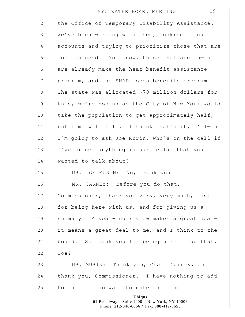| $1\,$          | 19<br>NYC WATER BOARD MEETING                                                                             |
|----------------|-----------------------------------------------------------------------------------------------------------|
| $\mathbf{2}$   | the Office of Temporary Disability Assistance.                                                            |
| 3              | We've been working with them, looking at our                                                              |
| 4              | accounts and trying to prioritize those that are                                                          |
| 5              | most in need. You know, those that are in-that                                                            |
| 6              | are already make the heat benefit assistance                                                              |
| $7\phantom{.}$ | program, and the SNAP foods benefits program.                                                             |
| $\,8\,$        | The state was allocated \$70 million dollars for                                                          |
| $\mathsf 9$    | this, we're hoping as the City of New York would                                                          |
| 10             | take the population to get approximately half,                                                            |
| 11             | but time will tell. I think that's it, I'll-and                                                           |
| 12             | I'm going to ask Joe Murin, who's on the call if                                                          |
| 13             | I've missed anything in particular that you                                                               |
| 14             | wanted to talk about?                                                                                     |
| 15             | MR. JOE MURIN: No, thank you.                                                                             |
| 16             | MR. CARNEY: Before you do that,                                                                           |
| 17             | Commissioner, thank you very, very much, just                                                             |
| 18             | for being here with us, and for giving us a                                                               |
| 19             | summary. A year-end review makes a great deal-                                                            |
| 20             | it means a great deal to me, and I think to the                                                           |
| 21             | board. So thank you for being here to do that.                                                            |
| 22             | Joe?                                                                                                      |
| 23             | MR. MURIN: Thank you, Chair Carney, and                                                                   |
| 24             | thank you, Commissioner. I have nothing to add                                                            |
| 25             | to that. I do want to note that the                                                                       |
|                | <b>Ubiqus</b><br>61 Broadway - Suite 1400 - New York, NY 10006<br>Phone: 212-346-6666 * Fax: 888-412-3655 |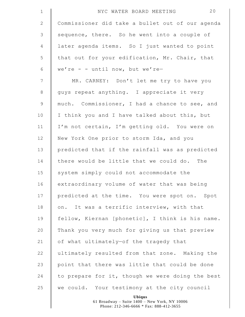| $1\,$           | 20<br>NYC WATER BOARD MEETING                    |
|-----------------|--------------------------------------------------|
| $\mathbf{2}$    | Commissioner did take a bullet out of our agenda |
| $\mathfrak{Z}$  | sequence, there. So he went into a couple of     |
| $\overline{4}$  | later agenda items. So I just wanted to point    |
| 5               | that out for your edification, Mr. Chair, that   |
| 6               | we're - - until now, but we're-                  |
| $7\phantom{.0}$ | MR. CARNEY: Don't let me try to have you         |
| 8               | guys repeat anything. I appreciate it very       |
| $\mathsf 9$     | much. Commissioner, I had a chance to see, and   |
| 10              | I think you and I have talked about this, but    |
| 11              | I'm not certain, I'm getting old. You were on    |
| 12              | New York One prior to storm Ida, and you         |
| 13              | predicted that if the rainfall was as predicted  |
| 14              | there would be little that we could do. The      |
| 15              | system simply could not accommodate the          |
| 16              | extraordinary volume of water that was being     |
| 17              | predicted at the time. You were spot on. Spot    |
| 18              | on. It was a terrific interview, with that       |
| 19              | fellow, Kiernan [phonetic], I think is his name. |
| 20              | Thank you very much for giving us that preview   |
| 21              | of what ultimately-of the tragedy that           |
| 22              | ultimately resulted from that zone. Making the   |
| 23              | point that there was little that could be done   |
| 24              | to prepare for it, though we were doing the best |
| 25              | we could. Your testimony at the city council     |
|                 | Ubiqus                                           |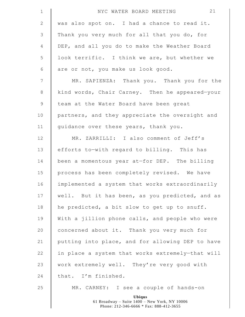| $\mathbf 1$    | 21<br>NYC WATER BOARD MEETING                                                                             |
|----------------|-----------------------------------------------------------------------------------------------------------|
| $\mathbf{2}$   | was also spot on. I had a chance to read it.                                                              |
| 3              | Thank you very much for all that you do, for                                                              |
| 4              | DEP, and all you do to make the Weather Board                                                             |
| 5              | look terrific. I think we are, but whether we                                                             |
| 6              | are or not, you make us look good.                                                                        |
| $\overline{7}$ | MR. SAPIENZA: Thank you. Thank you for the                                                                |
| $8\,$          | kind words, Chair Carney. Then he appeared-your                                                           |
| 9              | team at the Water Board have been great                                                                   |
| 10             | partners, and they appreciate the oversight and                                                           |
| 11             | quidance over these years, thank you.                                                                     |
| 12             | MR. ZARRILLI: I also comment of Jeff's                                                                    |
| 13             | efforts to-with regard to billing. This has                                                               |
| 14             | been a momentous year at-for DEP. The billing                                                             |
| 15             | process has been completely revised. We have                                                              |
| 16             | implemented a system that works extraordinarily                                                           |
| 17             | well. But it has been, as you predicted, and as                                                           |
| 18             | he predicted, a bit slow to get up to snuff.                                                              |
| 19             | With a jillion phone calls, and people who were                                                           |
| 20             | concerned about it. Thank you very much for                                                               |
| 21             | putting into place, and for allowing DEP to have                                                          |
| 22             | in place a system that works extremely-that will                                                          |
| 23             | work extremely well. They're very good with                                                               |
| 24             | that. I'm finished.                                                                                       |
| 25             | MR. CARNEY: I see a couple of hands-on                                                                    |
|                | <b>Ubiqus</b><br>61 Broadway - Suite 1400 - New York, NY 10006<br>Phone: 212-346-6666 * Fax: 888-412-3655 |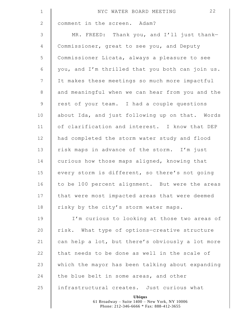| $\mathbf 1$     | 22<br>NYC WATER BOARD MEETING                                  |
|-----------------|----------------------------------------------------------------|
| $\mathbf{2}$    | comment in the screen. Adam?                                   |
| $\mathsf 3$     | MR. FREED: Thank you, and I'll just thank-                     |
| 4               | Commissioner, great to see you, and Deputy                     |
| 5               | Commissioner Licata, always a pleasure to see                  |
| $\sqrt{6}$      | you, and I'm thrilled that you both can join us.               |
| $7\phantom{.0}$ | It makes these meetings so much more impactful                 |
| $\,8\,$         | and meaningful when we can hear from you and the               |
| $\mathsf 9$     | rest of your team. I had a couple questions                    |
| 10              | about Ida, and just following up on that. Words                |
| 11              | of clarification and interest. I know that DEP                 |
| 12              | had completed the storm water study and flood                  |
| 13              | risk maps in advance of the storm. I'm just                    |
| 14              | curious how those maps aligned, knowing that                   |
| 15              | every storm is different, so there's not going                 |
| 16              | to be 100 percent alignment. But were the areas                |
| 17              | that were most impacted areas that were deemed                 |
| 18              | risky by the city's storm water maps.                          |
| 19              | I'm curious to looking at those two areas of                   |
| 20              | risk. What type of options-creative structure                  |
| 21              | can help a lot, but there's obviously a lot more               |
| 22              | that needs to be done as well in the scale of                  |
| 23              | which the mayor has been talking about expanding               |
| 24              | the blue belt in some areas, and other                         |
| 25              | infrastructural creates. Just curious what                     |
|                 | <b>Ubiqus</b><br>61 Broadway - Suite 1400 - New York, NY 10006 |

 $\mathsf I$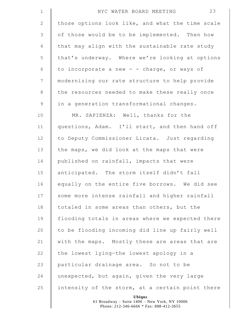| $\mathbf 1$     | 23<br>NYC WATER BOARD MEETING                    |
|-----------------|--------------------------------------------------|
| $\mathbf{2}$    | those options look like, and what the time scale |
| 3               | of those would be to be implemented. Then how    |
| 4               | that may align with the sustainable rate study   |
| 5               | that's underway. Where we're looking at options  |
| 6               | to incorporate a new - - charge, or ways of      |
| $7\phantom{.0}$ | modernizing our rate structure to help provide   |
| 8               | the resources needed to make these really once   |
| $\mathsf 9$     | in a generation transformational changes.        |
| 10              | MR. SAPIENZA: Well, thanks for the               |
| 11              | questions, Adam. I'll start, and then hand off   |
| 12              | to Deputy Commissioner Licata. Just regarding    |
| 13              | the maps, we did look at the maps that were      |
| 14              | published on rainfall, impacts that were         |
| 15              | anticipated. The storm itself didn't fall        |
| 16              | equally on the entire five borrows. We did see   |
| 17              | some more intense rainfall and higher rainfall   |
| 18              | totaled in some areas than others, but the       |
| 19              | flooding totals in areas where we expected there |
| 20              | to be flooding incoming did line up fairly well  |
| 21              | with the maps. Mostly these are areas that are   |
| 22              | the lowest lying-the lowest apology in a         |
| 23              | particular drainage area. So not to be           |
| 24              | unexpected, but again, given the very large      |
| 25              | intensity of the storm, at a certain point there |
|                 | Ubiqus                                           |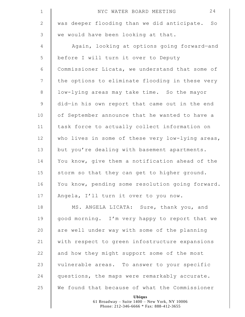| $\mathbf 1$     | 24<br>NYC WATER BOARD MEETING                    |
|-----------------|--------------------------------------------------|
| $\mathbf{2}$    | was deeper flooding than we did anticipate. So   |
| $\mathfrak{Z}$  | we would have been looking at that.              |
| 4               | Again, looking at options going forward-and      |
| 5               | before I will turn it over to Deputy             |
| $\sqrt{6}$      | Commissioner Licata, we understand that some of  |
| $7\phantom{.0}$ | the options to eliminate flooding in these very  |
| $\,8\,$         | low-lying areas may take time. So the mayor      |
| $\mathsf 9$     | did-in his own report that came out in the end   |
| 10              | of September announce that he wanted to have a   |
| 11              | task force to actually collect information on    |
| 12              | who lives in some of these very low-lying areas, |
| 13              | but you're dealing with basement apartments.     |
| 14              | You know, give them a notification ahead of the  |
| 15              | storm so that they can get to higher ground.     |
| 16              | You know, pending some resolution going forward. |
| 17              | Angela, I'll turn it over to you now.            |
| 18              | MS. ANGELA LICATA: Sure, thank you, and          |
| 19              | good morning. I'm very happy to report that we   |
| 20              | are well under way with some of the planning     |
| 21              | with respect to green infostructure expansions   |
| 22              | and how they might support some of the most      |
| 23              | vulnerable areas. To answer to your specific     |
| 24              | questions, the maps were remarkably accurate.    |
| 25              | We found that because of what the Commissioner   |
|                 | <b>Ubiqus</b>                                    |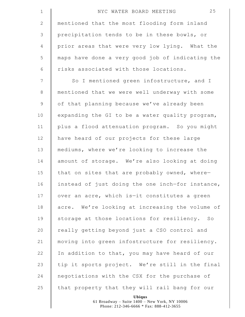| $\mathbf 1$    | 25<br>NYC WATER BOARD MEETING                                  |
|----------------|----------------------------------------------------------------|
| $\mathbf{2}$   | mentioned that the most flooding form inland                   |
| 3              | precipitation tends to be in these bowls, or                   |
| $\overline{4}$ | prior areas that were very low lying. What the                 |
| 5              | maps have done a very good job of indicating the               |
| 6              | risks associated with those locations.                         |
| $7\phantom{.}$ | So I mentioned green infostructure, and I                      |
| $\,8\,$        | mentioned that we were well underway with some                 |
| $\mathsf 9$    | of that planning because we've already been                    |
| 10             | expanding the GI to be a water quality program,                |
| 11             | plus a flood attenuation program. So you might                 |
| 12             | have heard of our projects for these large                     |
| 13             | mediums, where we're looking to increase the                   |
| 14             | amount of storage. We're also looking at doing                 |
| 15             | that on sites that are probably owned, where-                  |
| 16             | instead of just doing the one inch-for instance,               |
| 17             | over an acre, which is-it constitutes a green                  |
| 18             | acre. We're looking at increasing the volume of                |
| 19             | storage at those locations for resiliency. So                  |
| 20             | really getting beyond just a CSO control and                   |
| 21             | moving into green infostructure for resiliency.                |
| 22             | In addition to that, you may have heard of our                 |
| 23             | tip it sports project. We're still in the final                |
| 24             | negotiations with the CSX for the purchase of                  |
| 25             | that property that they will rail bang for our                 |
|                | <b>Ubiqus</b><br>61 Broadway - Suite 1400 - New York, NY 10006 |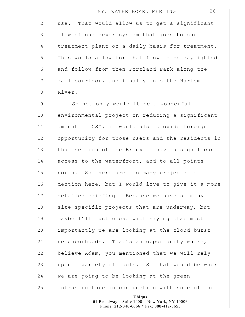| $\mathbf 1$     | 26<br>NYC WATER BOARD MEETING                                  |
|-----------------|----------------------------------------------------------------|
| 2               | use. That would allow us to get a significant                  |
| 3               | flow of our sewer system that goes to our                      |
| 4               | treatment plant on a daily basis for treatment.                |
| 5               | This would allow for that flow to be daylighted                |
| 6               | and follow from then Portland Park along the                   |
| $7\phantom{.0}$ | rail corridor, and finally into the Harlem                     |
| 8               | River.                                                         |
| 9               | So not only would it be a wonderful                            |
| 10              | environmental project on reducing a significant                |
| 11              | amount of CSO, it would also provide foreign                   |
| 12              | opportunity for those users and the residents in               |
| 13              | that section of the Bronx to have a significant                |
| 14              | access to the waterfront, and to all points                    |
| 15              | north. So there are too many projects to                       |
| 16              | mention here, but I would love to give it a more               |
| 17              | detailed briefing. Because we have so many                     |
| 18              | site-specific projects that are underway, but                  |
| 19              | maybe I'll just close with saying that most                    |
| 20              | importantly we are looking at the cloud burst                  |
| 21              | neighborhoods. That's an opportunity where, I                  |
| 22              | believe Adam, you mentioned that we will rely                  |
| 23              | upon a variety of tools. So that would be where                |
| 24              | we are going to be looking at the green                        |
| 25              | infrastructure in conjunction with some of the                 |
|                 | <b>Ubiqus</b><br>61 Broadway - Suite 1400 - New York, NY 10006 |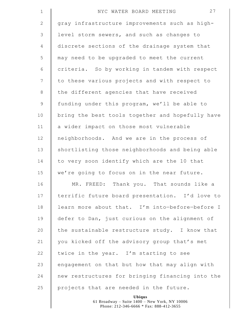| $\mathbf 1$    | 27<br>NYC WATER BOARD MEETING                    |
|----------------|--------------------------------------------------|
| $\mathbf{2}$   | gray infrastructure improvements such as high-   |
| 3              | level storm sewers, and such as changes to       |
| $\overline{4}$ | discrete sections of the drainage system that    |
| 5              | may need to be upgraded to meet the current      |
| 6              | criteria. So by working in tandem with respect   |
| 7              | to these various projects and with respect to    |
| $8\,$          | the different agencies that have received        |
| $\mathsf 9$    | funding under this program, we'll be able to     |
| 10             | bring the best tools together and hopefully have |
| 11             | a wider impact on those most vulnerable          |
| 12             | neighborhoods. And we are in the process of      |
| 13             | shortlisting those neighborhoods and being able  |
| 14             | to very soon identify which are the 10 that      |
| 15             | we're going to focus on in the near future.      |
| 16             | Thank you. That sounds like a<br>MR. FREED:      |
| 17             | terrific future board presentation. I'd love to  |
| 18             | learn more about that. I'm into-before-before I  |
| 19             | defer to Dan, just curious on the alignment of   |
| 20             | the sustainable restructure study. I know that   |
| 21             | you kicked off the advisory group that's met     |
| 22             | twice in the year. I'm starting to see           |
| 23             | engagement on that but how that may align with   |
| 24             | new restructures for bringing financing into the |
| 25             | projects that are needed in the future.          |
|                |                                                  |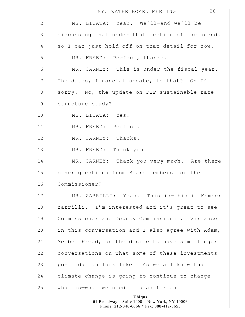| $\mathbf 1$    | 28<br>NYC WATER BOARD MEETING                                                                             |
|----------------|-----------------------------------------------------------------------------------------------------------|
| $\mathbf{2}$   | MS. LICATA: Yeah. We'll-and we'll be                                                                      |
| $\mathsf 3$    | discussing that under that section of the agenda                                                          |
| 4              | so I can just hold off on that detail for now.                                                            |
| 5              | MR. FREED: Perfect, thanks.                                                                               |
| 6              | MR. CARNEY: This is under the fiscal year.                                                                |
| $\overline{7}$ | The dates, financial update, is that? Oh I'm                                                              |
| $\,8\,$        | sorry. No, the update on DEP sustainable rate                                                             |
| $\mathcal{G}$  | structure study?                                                                                          |
| 10             | MS. LICATA: Yes.                                                                                          |
| 11             | MR. FREED: Perfect.                                                                                       |
| 12             | MR. CARNEY: Thanks.                                                                                       |
| 13             | MR. FREED: Thank you.                                                                                     |
| 14             | MR. CARNEY: Thank you very much. Are there                                                                |
| 15             | other questions from Board members for the                                                                |
| 16             | Commissioner?                                                                                             |
| 17             | MR. ZARRILLI: Yeah. This is-this is Member                                                                |
| 18             | Zarrilli. I'm interested and it's great to see                                                            |
| 19             | Commissioner and Deputy Commissioner. Variance                                                            |
| 20             | in this conversation and I also agree with Adam,                                                          |
| 21             | Member Freed, on the desire to have some longer                                                           |
| 22             | conversations on what some of these investments                                                           |
| 23             | post Ida can look like. As we all know that                                                               |
| 24             | climate change is going to continue to change                                                             |
| 25             | what is-what we need to plan for and                                                                      |
|                | <b>Ubiqus</b><br>61 Broadway - Suite 1400 - New York, NY 10006<br>Phone: 212-346-6666 * Fax: 888-412-3655 |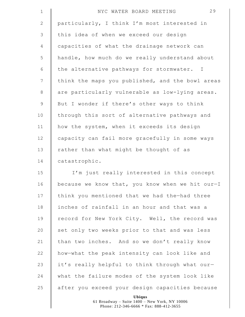| $\mathbf 1$    | 29<br>NYC WATER BOARD MEETING                    |
|----------------|--------------------------------------------------|
| $\mathbf{2}$   | particularly, I think I'm most interested in     |
| 3              | this idea of when we exceed our design           |
| $\overline{4}$ | capacities of what the drainage network can      |
| 5              | handle, how much do we really understand about   |
| $\epsilon$     | the alternative pathways for stormwater. I       |
| $\overline{7}$ | think the maps you published, and the bowl areas |
| $8\,$          | are particularly vulnerable as low-lying areas.  |
| $\overline{9}$ | But I wonder if there's other ways to think      |
| 10             | through this sort of alternative pathways and    |
| 11             | how the system, when it exceeds its design       |
| 12             | capacity can fail more gracefully in some ways   |
| 13             | rather than what might be thought of as          |
| 14             | catastrophic.                                    |
| 15             | I'm just really interested in this concept       |
| 16             | because we know that, you know when we hit our-I |
| 17             | think you mentioned that we had the-had three    |
| 18             | inches of rainfall in an hour and that was a     |
| 19             | record for New York City. Well, the record was   |
| 20             | set only two weeks prior to that and was less    |
| 21             | than two inches. And so we don't really know     |
| 22             | how-what the peak intensity can look like and    |
| 23             | it's really helpful to think through what our-   |
| 24             | what the failure modes of the system look like   |
| 25             | after you exceed your design capacities because  |
|                | Ubiqus                                           |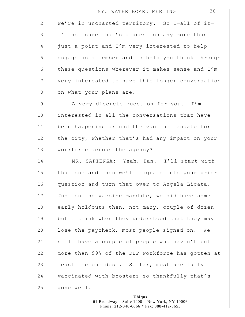| $\mathbf 1$     | 30<br>NYC WATER BOARD MEETING                    |
|-----------------|--------------------------------------------------|
| 2               | we're in uncharted territory. So I-all of it-    |
| $\mathcal{S}$   | I'm not sure that's a question any more than     |
| $\overline{4}$  | just a point and I'm very interested to help     |
| 5               | engage as a member and to help you think through |
| 6               | these questions wherever it makes sense and I'm  |
| $7\phantom{.0}$ | very interested to have this longer conversation |
| $8\,$           | on what your plans are.                          |
| $\overline{9}$  | A very discrete question for you. I'm            |
| 10              | interested in all the conversations that have    |
| 11              | been happening around the vaccine mandate for    |
| 12              | the city, whether that's had any impact on your  |
| 13              | workforce across the agency?                     |
| 14              | MR. SAPIENZA: Yeah, Dan. I'll start with         |
| 15              | that one and then we'll migrate into your prior  |
| 16              | question and turn that over to Angela Licata.    |
| 17              | Just on the vaccine mandate, we did have some    |
| 18              | early holdouts then, not many, couple of dozen   |
| 19              | but I think when they understood that they may   |
| 20              | lose the paycheck, most people signed on. We     |
| 21              | still have a couple of people who haven't but    |
| 22              | more than 99% of the DEP workforce has gotten at |
| 23              | least the one dose. So far, most are fully       |
| 24              | vaccinated with boosters so thankfully that's    |
| 25              | gone well.                                       |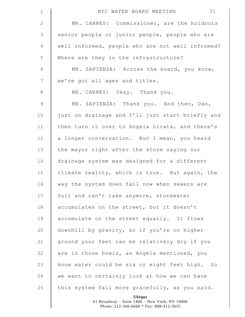| $\mathbf 1$     | 31<br>NYC WATER BOARD MEETING                                  |
|-----------------|----------------------------------------------------------------|
| $\mathbf{2}$    | MR. CARNEY: Commissioner, are the holdouts                     |
| 3               | senior people or junior people, people who are                 |
| $\overline{4}$  | well informed, people who are not well informed?               |
| 5               | Where are they in the infrastructure?                          |
| 6               | MR. SAPIENZA: Across the board, you know,                      |
| $7\phantom{.0}$ | we've got all ages and titles.                                 |
| 8               | MR. CARNEY: Okay. Thank you.                                   |
| $\mathcal{G}$   | MR. SAPIENZA: Thank you. And then, Dan,                        |
| 10              | just on drainage and I'll just start briefly and               |
| 11              | then turn it over to Angela Licata, and there's                |
| 12              | a longer conversation. But I mean, you heard                   |
| 13              | the mayor right after the storm saying our                     |
| 14              | drainage system was designed for a different                   |
| 15              | climate reality, which is true. But again, the                 |
| 16              | way the system does fail now when sewers are                   |
| 17              | full and can't take anymore, stormwater                        |
| 18              | accumulates on the street, but it doesn't                      |
| 19              | accumulate on the street equally. It flows                     |
| 20              | downhill by gravity, so if you're on higher                    |
| 21              | ground your feet can be relatively dry if you                  |
| 22              | are in those bowls, as Angela mentioned, you                   |
| 23              | know water could be six or eight feet high. So                 |
| 24              | we want to certainly look at how we can have                   |
| 25              | this system fail more gracefully, as you said.                 |
|                 | <b>Ubiqus</b><br>61 Broadway - Suite 1400 - New York, NY 10006 |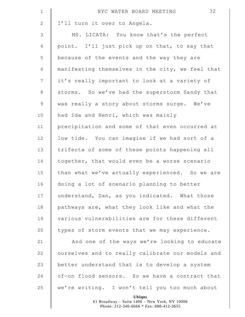| $\mathbf 1$    | 32<br>NYC WATER BOARD MEETING                                                                             |
|----------------|-----------------------------------------------------------------------------------------------------------|
| $\mathbf{2}$   | I'll turn it over to Angela.                                                                              |
| $\mathsf 3$    | MS. LICATA: You know that's the perfect                                                                   |
| $\overline{4}$ | point. I'll just pick up on that, to say that                                                             |
| 5              | because of the events and the way they are                                                                |
| 6              | manifesting themselves in the city, we feel that                                                          |
| $7\phantom{.}$ | it's really important to look at a variety of                                                             |
| $\,8\,$        | storms. So we've had the superstorm Sandy that                                                            |
| $\mathsf 9$    | was really a story about storms surge. We've                                                              |
| 10             | had Ida and Henri, which was mainly                                                                       |
| 11             | precipitation and some of that even occurred at                                                           |
| 12             | low tide. You can imagine if we had sort of a                                                             |
| 13             | trifecta of some of these points happening all                                                            |
| 14             | together, that would even be a worse scenario                                                             |
| 15             | than what we've actually experienced. So we are                                                           |
| 16             | doing a lot of scenario planning to better                                                                |
| 17             | understand, Dan, as you indicated. What those                                                             |
| 18             | pathways are, what they look like and what the                                                            |
| 19             | various vulnerabilities are for these different                                                           |
| 20             | types of storm events that we may experience.                                                             |
| 21             | And one of the ways we're looking to educate                                                              |
| 22             | ourselves and to really calibrate our models and                                                          |
| 23             | better understand that is to develop a system                                                             |
| 24             | of-on flood sensors. So we have a contract that                                                           |
| 25             | we're writing. I won't tell you too much about                                                            |
|                | <b>Ubiqus</b><br>61 Broadway - Suite 1400 - New York, NY 10006<br>Phone: 212-346-6666 * Fax: 888-412-3655 |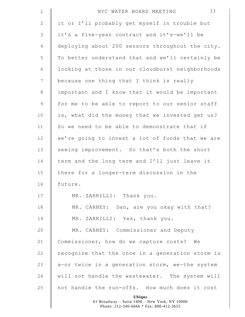| $\mathbbm{1}$  | 33<br>NYC WATER BOARD MEETING                                                                             |
|----------------|-----------------------------------------------------------------------------------------------------------|
| $\mathbf{2}$   | it or I'll probably get myself in trouble but                                                             |
| 3              | it's a five-year contract and it's-we'll be                                                               |
| $\overline{4}$ | deploying about 200 sensors throughout the city.                                                          |
| 5              | To better understand that and we'll certainly be                                                          |
| 6              | looking at those in our cloudburst neighborhoods                                                          |
| $7\phantom{.}$ | because one thing that I think is really                                                                  |
| $\,8\,$        | important and I know that it would be important                                                           |
| $\mathsf 9$    | for me to be able to report to our senior staff                                                           |
| 10             | is, what did the money that we invested get us?                                                           |
| 11             | So we need to be able to demonstrate that if                                                              |
| 12             | we're going to invest a lot of funds that we are                                                          |
| 13             | seeing improvement. So that's both the short                                                              |
| 14             | term and the long term and I'll just leave it                                                             |
| 15             | there for a longer-term discussion in the                                                                 |
| 16             | future.                                                                                                   |
| 17             | MR. ZARRILLI: Thank you.                                                                                  |
| 18             | MR. CARNEY: Dan, are you okay with that?                                                                  |
| 19             | MR. ZARRILLI: Yes, thank you.                                                                             |
| 20             | MR. CARNEY: Commissioner and Deputy                                                                       |
| 21             | Commissioner, how do we capture costs? We                                                                 |
| 22             | recognize that the once in a generation storm is                                                          |
| 23             | a-or twice in a generation storm, we-the system                                                           |
| 24             | will not handle the wastewater. The system will                                                           |
| 25             | not handle the run-offs. How much does it cost                                                            |
|                | <b>Ubiqus</b><br>61 Broadway - Suite 1400 - New York, NY 10006<br>Phone: 212-346-6666 * Fax: 888-412-3655 |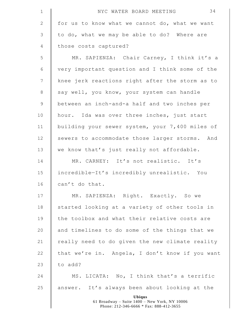| $\mathbf 1$    | 34<br>NYC WATER BOARD MEETING                                                                             |
|----------------|-----------------------------------------------------------------------------------------------------------|
| $\mathbf{2}$   | for us to know what we cannot do, what we want                                                            |
| $\mathfrak{Z}$ | to do, what we may be able to do? Where are                                                               |
| $\overline{4}$ | those costs captured?                                                                                     |
| 5              | MR. SAPIENZA: Chair Carney, I think it's a                                                                |
| $\epsilon$     | very important question and I think some of the                                                           |
| $\overline{7}$ | knee jerk reactions right after the storm as to                                                           |
| $\,8\,$        | say well, you know, your system can handle                                                                |
| $\mathsf 9$    | between an inch-and-a half and two inches per                                                             |
| 10             | hour. Ida was over three inches, just start                                                               |
| 11             | building your sewer system, your 7,400 miles of                                                           |
| 12             | sewers to accommodate those larger storms. And                                                            |
| 13             | we know that's just really not affordable.                                                                |
| 14             | MR. CARNEY: It's not realistic. It's                                                                      |
| 15             | incredible-It's incredibly unrealistic. You                                                               |
| 16             | can't do that.                                                                                            |
| 17             | MR. SAPIENZA: Right. Exactly. So we                                                                       |
| 18             | started looking at a variety of other tools in                                                            |
| 19             | the toolbox and what their relative costs are                                                             |
| 20             | and timelines to do some of the things that we                                                            |
| 21             | really need to do given the new climate reality                                                           |
| 22             | that we're in. Angela, I don't know if you want                                                           |
| 23             | to add?                                                                                                   |
| 24             | MS. LICATA: No, I think that's a terrific                                                                 |
| 25             | answer. It's always been about looking at the                                                             |
|                | <b>Ubiqus</b><br>61 Broadway - Suite 1400 - New York, NY 10006<br>Phone: 212-346-6666 * Fax: 888-412-3655 |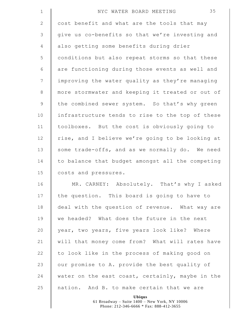| $\mathbf 1$     | 35<br>NYC WATER BOARD MEETING                    |
|-----------------|--------------------------------------------------|
| 2               | cost benefit and what are the tools that may     |
| 3               | give us co-benefits so that we're investing and  |
| $\overline{4}$  | also getting some benefits during drier          |
| 5               | conditions but also repeat storms so that these  |
| 6               | are functioning during those events as well and  |
| $7\phantom{.0}$ | improving the water quality as they're managing  |
| $\,8\,$         | more stormwater and keeping it treated or out of |
| $\mathsf 9$     | the combined sewer system. So that's why green   |
| 10              | infrastructure tends to rise to the top of these |
| 11              | toolboxes. But the cost is obviously going to    |
| 12              | rise, and I believe we're going to be looking at |
| 13              | some trade-offs, and as we normally do. We need  |
| 14              | to balance that budget amongst all the competing |
| 15              | costs and pressures.                             |
| 16              | MR. CARNEY: Absolutely. That's why I asked       |
| 17              | the question. This board is going to have to     |
| 18              | deal with the question of revenue. What way are  |
| 19              | we headed? What does the future in the next      |
| 20              | year, two years, five years look like? Where     |
| 21              | will that money come from? What will rates have  |
| 22              | to look like in the process of making good on    |
| 23              | our promise to A. provide the best quality of    |
| 24              | water on the east coast, certainly, maybe in the |
| 25              | nation. And B. to make certain that we are       |
|                 |                                                  |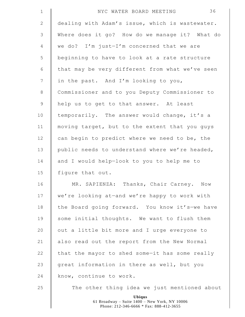| $\mathbf 1$   | 36<br>NYC WATER BOARD MEETING                                                                             |
|---------------|-----------------------------------------------------------------------------------------------------------|
| $\mathbf{2}$  | dealing with Adam's issue, which is wastewater.                                                           |
| $\mathcal{S}$ | Where does it go? How do we manage it? What do                                                            |
| 4             | we do? I'm just-I'm concerned that we are                                                                 |
| 5             | beginning to have to look at a rate structure                                                             |
| 6             | that may be very different from what we've seen                                                           |
| 7             | in the past. And I'm looking to you,                                                                      |
| $8\,$         | Commissioner and to you Deputy Commissioner to                                                            |
| $\mathsf 9$   | help us to get to that answer. At least                                                                   |
| 10            | temporarily. The answer would change, it's a                                                              |
| 11            | moving target, but to the extent that you guys                                                            |
| 12            | can begin to predict where we need to be, the                                                             |
| 13            | public needs to understand where we're headed,                                                            |
| 14            | and I would help-look to you to help me to                                                                |
| 15            | figure that out.                                                                                          |
| 16            | MR. SAPIENZA: Thanks, Chair Carney. Now                                                                   |
| 17            | we're looking at-and we're happy to work with                                                             |
| 18            | the Board going forward. You know it's-we have                                                            |
| 19            | some initial thoughts. We want to flush them                                                              |
| 20            | out a little bit more and I urge everyone to                                                              |
| 21            | also read out the report from the New Normal                                                              |
| 22            | that the mayor to shed some-it has some really                                                            |
| 23            | great information in there as well, but you                                                               |
| 24            | know, continue to work.                                                                                   |
| 25            | The other thing idea we just mentioned about                                                              |
|               | <b>Ubiqus</b><br>61 Broadway - Suite 1400 - New York, NY 10006<br>Phone: 212-346-6666 * Fax: 888-412-3655 |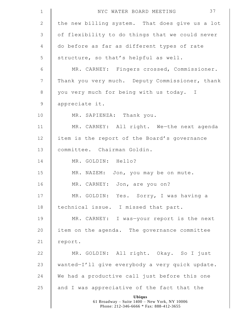| $1\,$           | 37<br>NYC WATER BOARD MEETING                                  |
|-----------------|----------------------------------------------------------------|
| $\mathbf{2}$    | the new billing system. That does give us a lot                |
| $\mathfrak{Z}$  | of flexibility to do things that we could never                |
| $\overline{4}$  | do before as far as different types of rate                    |
| 5               | structure, so that's helpful as well.                          |
| $\sqrt{6}$      | MR. CARNEY: Fingers crossed, Commissioner.                     |
| $7\phantom{.0}$ | Thank you very much. Deputy Commissioner, thank                |
| $\,8\,$         | you very much for being with us today. I                       |
| $\mathsf 9$     | appreciate it.                                                 |
| 10              | MR. SAPIENZA: Thank you.                                       |
| 11              | MR. CARNEY: All right. We-the next agenda                      |
| 12              | item is the report of the Board's governance                   |
| 13              | committee. Chairman Goldin.                                    |
| 14              | MR. GOLDIN: Hello?                                             |
| 15              | MR. NAZEM: Jon, you may be on mute.                            |
| 16              | MR. CARNEY: Jon, are you on?                                   |
| 17              | MR. GOLDIN: Yes. Sorry, I was having a                         |
| 18              | technical issue. I missed that part.                           |
| 19              | MR. CARNEY: I was-your report is the next                      |
| 20              | item on the agenda. The governance committee                   |
| 21              | report.                                                        |
| 22              | MR. GOLDIN: All right. Okay. So I just                         |
| 23              | wanted-I'll give everybody a very quick update.                |
| 24              | We had a productive call just before this one                  |
| 25              | and I was appreciative of the fact that the                    |
|                 | <b>Ubiqus</b><br>61 Broadway - Suite 1400 - New York, NY 10006 |
|                 | Phone: 212-346-6666 * Fax: 888-412-3655                        |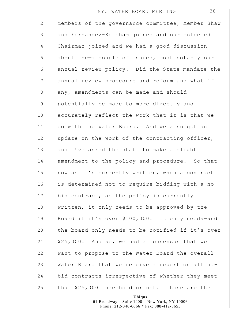| $\mathbf 1$     | 38<br>NYC WATER BOARD MEETING                    |
|-----------------|--------------------------------------------------|
| $\mathbf{2}$    | members of the governance committee, Member Shaw |
| $\mathfrak{Z}$  | and Fernandez-Ketcham joined and our esteemed    |
| $\overline{4}$  | Chairman joined and we had a good discussion     |
| 5               | about the-a couple of issues, most notably our   |
| 6               | annual review policy. Did the State mandate the  |
| $7\phantom{.0}$ | annual review procedure and reform and what if   |
| 8               | any, amendments can be made and should           |
| $\mathsf 9$     | potentially be made to more directly and         |
| 10              | accurately reflect the work that it is that we   |
| 11              | do with the Water Board. And we also got an      |
| 12              | update on the work of the contracting officer,   |
| 13              | and I've asked the staff to make a slight        |
| 14              | amendment to the policy and procedure. So that   |
| 15              | now as it's currently written, when a contract   |
| 16              | is determined not to require bidding with a no-  |
| 17              | bid contract, as the policy is currently         |
| 18              | written, it only needs to be approved by the     |
| 19              | Board if it's over \$100,000. It only needs-and  |
| 20              | the board only needs to be notified if it's over |
| 21              | \$25,000. And so, we had a consensus that we     |
| 22              | want to propose to the Water Board-the overall   |
| 23              | Water Board that we receive a report on all no-  |
| 24              | bid contracts irrespective of whether they meet  |
| 25              | that \$25,000 threshold or not. Those are the    |
|                 | Ubiqus                                           |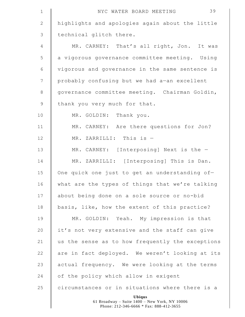| $\mathbf 1$    | 39<br>NYC WATER BOARD MEETING                                  |
|----------------|----------------------------------------------------------------|
| $\mathbf{2}$   | highlights and apologies again about the little                |
| $\mathsf 3$    | technical glitch there.                                        |
| $\overline{4}$ | MR. CARNEY: That's all right, Jon. It was                      |
| 5              | a vigorous governance committee meeting. Using                 |
| $\sqrt{6}$     | vigorous and governance in the same sentence is                |
| $7\phantom{.}$ | probably confusing but we had a-an excellent                   |
| $\,8\,$        | governance committee meeting. Chairman Goldin,                 |
| $\mathsf 9$    | thank you very much for that.                                  |
| 10             | MR. GOLDIN: Thank you.                                         |
| 11             | MR. CARNEY: Are there questions for Jon?                       |
| 12             | MR. ZARRILLI: This is -                                        |
| 13             | MR. CARNEY: [Interposing] Next is the $-$                      |
| 14             | MR. ZARRILLI: [Interposing] This is Dan.                       |
| 15             | One quick one just to get an understanding of-                 |
| 16             | what are the types of things that we're talking                |
| 17             | about being done on a sole source or no-bid                    |
| 18             | basis, like, how the extent of this practice?                  |
| 19             | MR. GOLDIN: Yeah. My impression is that                        |
| 20             | it's not very extensive and the staff can give                 |
| 21             | us the sense as to how frequently the exceptions               |
| 22             | are in fact deployed. We weren't looking at its                |
| 23             | actual frequency. We were looking at the terms                 |
| 24             | of the policy which allow in exigent                           |
| 25             | circumstances or in situations where there is a                |
|                | <b>Ubiqus</b><br>61 Broadway - Suite 1400 - New York, NY 10006 |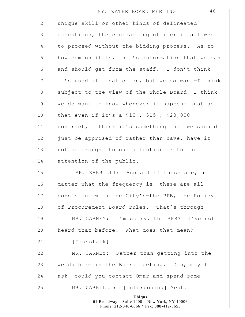| $1\,$          | 40<br>NYC WATER BOARD MEETING                                                                             |
|----------------|-----------------------------------------------------------------------------------------------------------|
| $\mathbf{2}$   | unique skill or other kinds of delineated                                                                 |
| 3              | exceptions, the contracting officer is allowed                                                            |
| 4              | to proceed without the bidding process. As to                                                             |
| 5              | how common it is, that's information that we can                                                          |
| 6              | and should get from the staff. I don't think                                                              |
| $\overline{7}$ | it's used all that often, but we do want-I think                                                          |
| $\,8\,$        | subject to the view of the whole Board, I think                                                           |
| $\mathsf 9$    | we do want to know whenever it happens just so                                                            |
| 10             | that even if it's a \$10-, \$15-, \$20,000                                                                |
| 11             | contract, I think it's something that we should                                                           |
| 12             | just be apprised of rather than have, have it                                                             |
| 13             | not be brought to our attention or to the                                                                 |
| 14             | attention of the public.                                                                                  |
| 15             | MR. ZARRILLI: And all of these are, no                                                                    |
| 16             | matter what the frequency is, these are all                                                               |
| 17             | consistent with the City's-the PPB, the Policy                                                            |
| 18             | of Procurement Board rules. That's through -                                                              |
| 19             | MR. CARNEY: I'm sorry, the PPB? I've not                                                                  |
| 20             | heard that before. What does that mean?                                                                   |
| 21             | [Crosstalk]                                                                                               |
| 22             | MR. CARNEY: Rather than getting into the                                                                  |
| 23             | weeds here in the Board meeting. Dan, may I                                                               |
| 24             | ask, could you contact Omar and spend some-                                                               |
| 25             | MR. ZARRILLI: [Interposing] Yeah.                                                                         |
|                | <b>Ubiqus</b><br>61 Broadway - Suite 1400 - New York, NY 10006<br>Phone: 212-346-6666 * Fax: 888-412-3655 |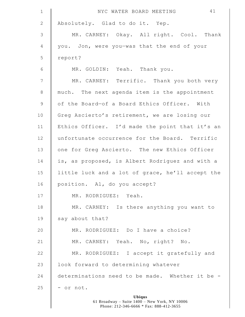| $\mathbf 1$     | 41<br>NYC WATER BOARD MEETING                    |
|-----------------|--------------------------------------------------|
| $\mathbf{2}$    | Absolutely. Glad to do it. Yep.                  |
| $\mathfrak{Z}$  | MR. CARNEY: Okay. All right. Cool. Thank         |
| $\overline{4}$  | you. Jon, were you-was that the end of your      |
| 5               | report?                                          |
| $\epsilon$      | MR. GOLDIN: Yeah. Thank you.                     |
| $7\phantom{.0}$ | MR. CARNEY: Terrific. Thank you both very        |
| $\,8\,$         | much. The next agenda item is the appointment    |
| $\mathsf 9$     | of the Board-of a Board Ethics Officer. With     |
| 10              | Greg Ascierto's retirement, we are losing our    |
| 11              | Ethics Officer. I'd made the point that it's an  |
| 12              | unfortunate occurrence for the Board. Terrific   |
| 13              | one for Greg Ascierto. The new Ethics Officer    |
| 14              | is, as proposed, is Albert Rodriguez and with a  |
| 15              | little luck and a lot of grace, he'll accept the |
| 16              | position. Al, do you accept?                     |
| 17              | MR. RODRIGUEZ: Yeah.                             |
| 18              | MR. CARNEY: Is there anything you want to        |
| 19              | say about that?                                  |
| 20              | MR. RODRIGUEZ: Do I have a choice?               |
| 21              | MR. CARNEY: Yeah. No, right? No.                 |
| 22              | MR. RODRIGUEZ: I accept it gratefully and        |
| 23              | look forward to determining whatever             |
| 24              | determinations need to be made. Whether it be -  |
| 25              | - or not.                                        |
|                 | <b>Ubiqus</b>                                    |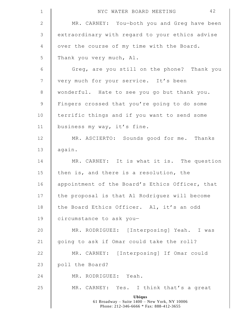| $\mathbf 1$     | 42<br>NYC WATER BOARD MEETING                                                                             |
|-----------------|-----------------------------------------------------------------------------------------------------------|
| $\mathbf{2}$    | MR. CARNEY: You-both you and Greg have been                                                               |
| 3               | extraordinary with regard to your ethics advise                                                           |
| 4               | over the course of my time with the Board.                                                                |
| 5               | Thank you very much, Al.                                                                                  |
| $\epsilon$      | Greg, are you still on the phone? Thank you                                                               |
| $7\phantom{.0}$ | very much for your service. It's been                                                                     |
| $\,8\,$         | wonderful. Hate to see you go but thank you.                                                              |
| $\mathsf 9$     | Fingers crossed that you're going to do some                                                              |
| 10              | terrific things and if you want to send some                                                              |
| 11              | business my way, it's fine.                                                                               |
| 12              | MR. ASCIERTO: Sounds good for me. Thanks                                                                  |
| 13              | again.                                                                                                    |
| 14              | MR. CARNEY: It is what it is. The question                                                                |
| 15              | then is, and there is a resolution, the                                                                   |
| 16              | appointment of the Board's Ethics Officer, that                                                           |
| 17              | the proposal is that Al Rodriguez will become                                                             |
| 18              | the Board Ethics Officer. Al, it's an odd                                                                 |
| 19              | circumstance to ask you-                                                                                  |
| 20              | MR. RODRIGUEZ: [Interposing] Yeah. I was                                                                  |
| 21              | going to ask if Omar could take the roll?                                                                 |
| 22              | MR. CARNEY: [Interposing] If Omar could                                                                   |
| 23              | poll the Board?                                                                                           |
| 24              | MR. RODRIGUEZ: Yeah.                                                                                      |
| 25              | MR. CARNEY: Yes. I think that's a great                                                                   |
|                 | <b>Ubiqus</b><br>61 Broadway - Suite 1400 - New York, NY 10006<br>Phone: 212-346-6666 * Fax: 888-412-3655 |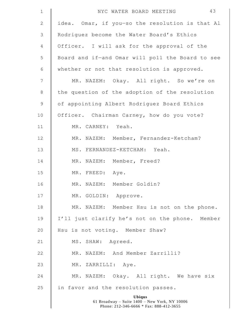| $\mathbf 1$    | 43<br>NYC WATER BOARD MEETING                                                                             |
|----------------|-----------------------------------------------------------------------------------------------------------|
| $\mathbf{2}$   | idea. Omar, if you-so the resolution is that Al                                                           |
| $\mathcal{S}$  | Rodriquez become the Water Board's Ethics                                                                 |
| 4              | Officer. I will ask for the approval of the                                                               |
| 5              | Board and if-and Omar will poll the Board to see                                                          |
| 6              | whether or not that resolution is approved.                                                               |
| $7\phantom{.}$ | MR. NAZEM: Okay. All right. So we're on                                                                   |
| $\,8\,$        | the question of the adoption of the resolution                                                            |
| 9              | of appointing Albert Rodriguez Board Ethics                                                               |
| 10             | Officer. Chairman Carney, how do you vote?                                                                |
| 11             | MR. CARNEY: Yeah.                                                                                         |
| 12             | MR. NAZEM: Member, Fernandez-Ketcham?                                                                     |
| 13             | MS. FERNANDEZ-KETCHAM: Yeah.                                                                              |
| 14             | MR. NAZEM: Member, Freed?                                                                                 |
| 15             | MR. FREED: Aye.                                                                                           |
| 16             | MR. NAZEM: Member Goldin?                                                                                 |
| 17             | MR. GOLDIN: Approve.                                                                                      |
| 18             | MR. NAZEM: Member Hsu is not on the phone.                                                                |
| 19             | I'll just clarify he's not on the phone. Member                                                           |
| 20             | Hsu is not voting. Member Shaw?                                                                           |
| 21             | MS. SHAW: Agreed.                                                                                         |
| 22             | MR. NAZEM: And Member Zarrilli?                                                                           |
| 23             | MR. ZARRILLI: Aye.                                                                                        |
| 24             | MR. NAZEM: Okay. All right. We have six                                                                   |
| 25             | in favor and the resolution passes.                                                                       |
|                | <b>Ubiqus</b><br>61 Broadway - Suite 1400 - New York, NY 10006<br>Phone: 212-346-6666 * Fax: 888-412-3655 |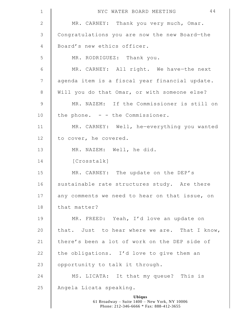| $\mathbf 1$     | 44<br>NYC WATER BOARD MEETING                                  |
|-----------------|----------------------------------------------------------------|
| 2               | MR. CARNEY: Thank you very much, Omar.                         |
| $\mathfrak{Z}$  | Congratulations you are now the new Board-the                  |
| $\overline{4}$  | Board's new ethics officer.                                    |
| 5               | MR. RODRIGUEZ: Thank you.                                      |
| $\sqrt{6}$      | MR. CARNEY: All right. We have-the next                        |
| $7\phantom{.0}$ | agenda item is a fiscal year financial update.                 |
| 8               | Will you do that Omar, or with someone else?                   |
| $\overline{9}$  | MR. NAZEM: If the Commissioner is still on                     |
| 10              | the phone. $-$ - the Commissioner.                             |
| 11              | MR. CARNEY: Well, he-everything you wanted                     |
| 12              | to cover, he covered.                                          |
| 13              | MR. NAZEM: Well, he did.                                       |
| 14              | [Crosstalk]                                                    |
| 15              | MR. CARNEY: The update on the DEP's                            |
| 16              | sustainable rate structures study. Are there                   |
| 17              | any comments we need to hear on that issue, on                 |
| 18              | that matter?                                                   |
| 19              | MR. FREED: Yeah, I'd love an update on                         |
| 20              | that. Just to hear where we are. That I know,                  |
| 21              | there's been a lot of work on the DEP side of                  |
| 22              | the obligations. I'd love to give them an                      |
| 23              | opportunity to talk it through.                                |
| 24              | MS. LICATA: It that my queue? This is                          |
| 25              | Angela Licata speaking.                                        |
|                 | <b>Ubiqus</b><br>61 Broadway - Suite 1400 - New York, NY 10006 |

 $\mathsf I$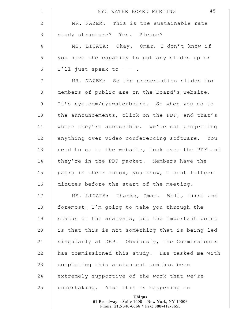| $\mathbf 1$    | 45<br>NYC WATER BOARD MEETING                    |
|----------------|--------------------------------------------------|
| $\mathbf{2}$   | MR. NAZEM: This is the sustainable rate          |
| $\mathfrak{Z}$ | study structure? Yes. Please?                    |
| 4              | MS. LICATA: Okay. Omar, I don't know if          |
| 5              | you have the capacity to put any slides up or    |
| $\epsilon$     | I'll just speak to - - .                         |
| $\overline{7}$ | MR. NAZEM: So the presentation slides for        |
| $8\,$          | members of public are on the Board's website.    |
| $\mathsf 9$    | It's nyc.com/nycwaterboard. So when you go to    |
| 10             | the announcements, click on the PDF, and that's  |
| 11             | where they're accessible. We're not projecting   |
| 12             | anything over video conferencing software. You   |
| 13             | need to go to the website, look over the PDF and |
| 14             | they're in the PDF packet. Members have the      |
| 15             | packs in their inbox, you know, I sent fifteen   |
| 16             | minutes before the start of the meeting.         |
| 17             | MS. LICATA: Thanks, Omar. Well, first and        |
| 18             | foremost, I'm going to take you through the      |
| 19             | status of the analysis, but the important point  |
| 20             | is that this is not something that is being led  |
| 21             | singularly at DEP. Obviously, the Commissioner   |
| 22             | has commissioned this study. Has tasked me with  |
| 23             | completing this assignment and has been          |
| 24             | extremely supportive of the work that we're      |
| 25             | undertaking. Also this is happening in           |
|                | Ubiqus                                           |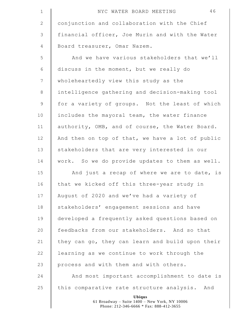| $\mathbf 1$  | 46<br>NYC WATER BOARD MEETING                                                                             |
|--------------|-----------------------------------------------------------------------------------------------------------|
| $\mathbf{2}$ | conjunction and collaboration with the Chief                                                              |
| 3            | financial officer, Joe Murin and with the Water                                                           |
| 4            | Board treasurer, Omar Nazem.                                                                              |
| 5            | And we have various stakeholders that we'll                                                               |
| 6            | discuss in the moment, but we really do                                                                   |
| 7            | wholeheartedly view this study as the                                                                     |
| $8\,$        | intelligence gathering and decision-making tool                                                           |
| $\mathsf 9$  | for a variety of groups. Not the least of which                                                           |
| 10           | includes the mayoral team, the water finance                                                              |
| 11           | authority, OMB, and of course, the Water Board.                                                           |
| 12           | And then on top of that, we have a lot of public                                                          |
| 13           | stakeholders that are very interested in our                                                              |
| 14           | work. So we do provide updates to them as well.                                                           |
| 15           | And just a recap of where we are to date, is                                                              |
| 16           | that we kicked off this three-year study in                                                               |
| 17           | August of 2020 and we've had a variety of                                                                 |
| 18           | stakeholders' engagement sessions and have                                                                |
| 19           | developed a frequently asked questions based on                                                           |
| 20           | feedbacks from our stakeholders. And so that                                                              |
| 21           | they can go, they can learn and build upon their                                                          |
| 22           | learning as we continue to work through the                                                               |
| 23           | process and with them and with others.                                                                    |
| 24           | And most important accomplishment to date is                                                              |
| 25           | this comparative rate structure analysis. And                                                             |
|              | <b>Ubiqus</b><br>61 Broadway - Suite 1400 - New York, NY 10006<br>Phone: 212-346-6666 * Fax: 888-412-3655 |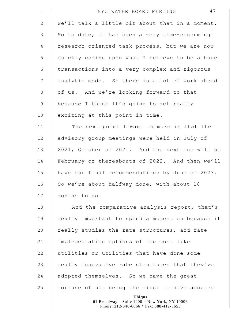| $\mathbf 1$     | 47<br>NYC WATER BOARD MEETING                    |
|-----------------|--------------------------------------------------|
| $\mathbf{2}$    | we'll talk a little bit about that in a moment.  |
| $\mathcal{S}$   | So to date, it has been a very time-consuming    |
| 4               | research-oriented task process, but we are now   |
| 5               | quickly coming upon what I believe to be a huge  |
| $\epsilon$      | transactions into a very complex and rigorous    |
| $7\phantom{.0}$ | analytic mode. So there is a lot of work ahead   |
| $8\,$           | of us. And we're looking forward to that         |
| 9               | because I think it's going to get really         |
| 10              | exciting at this point in time.                  |
| 11              | The next point I want to make is that the        |
| 12              | advisory group meetings were held in July of     |
| 13              | 2021, October of 2021. And the next one will be  |
| 14              | February or thereabouts of 2022. And then we'll  |
| 15              | have our final recommendations by June of 2023.  |
| 16              | So we're about halfway done, with about 18       |
| 17              | months to go.                                    |
| 18              | And the comparative analysis report, that's      |
| 19              | really important to spend a moment on because it |
| 20              | really studies the rate structures, and rate     |
| 21              | implementation options of the most like          |
| 22              | utilities or utilities that have done some       |
| 23              | really innovative rate structures that they've   |
| 24              | adopted themselves. So we have the great         |
| 25              | fortune of not being the first to have adopted   |
|                 | Ubiqus                                           |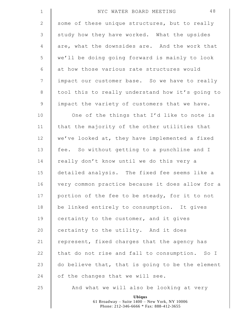| $\mathbf 1$     | 48<br>NYC WATER BOARD MEETING                                                                             |
|-----------------|-----------------------------------------------------------------------------------------------------------|
| $\sqrt{2}$      | some of these unique structures, but to really                                                            |
| $\mathfrak{Z}$  | study how they have worked. What the upsides                                                              |
| $\overline{4}$  | are, what the downsides are. And the work that                                                            |
| 5               | we'll be doing going forward is mainly to look                                                            |
| 6               | at how those various rate structures would                                                                |
| $7\phantom{.0}$ | impact our customer base. So we have to really                                                            |
| $\,8\,$         | tool this to really understand how it's going to                                                          |
| $\mathsf 9$     | impact the variety of customers that we have.                                                             |
| 10              | One of the things that I'd like to note is                                                                |
| 11              | that the majority of the other utilities that                                                             |
| 12              | we've looked at, they have implemented a fixed                                                            |
| 13              | fee. So without getting to a punchline and I                                                              |
| 14              | really don't know until we do this very a                                                                 |
| 15              | detailed analysis. The fixed fee seems like a                                                             |
| 16              | very common practice because it does allow for a                                                          |
| 17              | portion of the fee to be steady, for it to not                                                            |
| 18              | be linked entirely to consumption. It gives                                                               |
| 19              | certainty to the customer, and it gives                                                                   |
| 20              | certainty to the utility. And it does                                                                     |
| 21              | represent, fixed charges that the agency has                                                              |
| 22              | that do not rise and fall to consumption. So I                                                            |
| 23              | do believe that, that is going to be the element                                                          |
| 24              | of the changes that we will see.                                                                          |
| 25              | And what we will also be looking at very                                                                  |
|                 | <b>Ubiqus</b><br>61 Broadway - Suite 1400 - New York, NY 10006<br>Phone: 212-346-6666 * Fax: 888-412-3655 |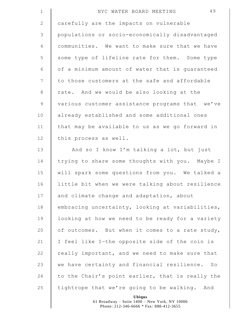| $\mathbf 1$    | 49<br>NYC WATER BOARD MEETING                    |
|----------------|--------------------------------------------------|
| $\mathbf{2}$   | carefully are the impacts on vulnerable          |
| 3              | populations or socio-economically disadvantaged  |
| $\overline{4}$ | communities. We want to make sure that we have   |
| 5              | some type of lifeline rate for them. Some type   |
| 6              | of a minimum amount of water that is guaranteed  |
| $7\phantom{.}$ | to those customers at the safe and affordable    |
| $8\,$          | rate. And we would be also looking at the        |
| $\mathsf 9$    | various customer assistance programs that we've  |
| 10             | already established and some additional ones     |
| 11             | that may be available to us as we go forward in  |
| 12             | this process as well.                            |
| 13             | And so I know I'm talking a lot, but just        |
| 14             | trying to share some thoughts with you. Maybe I  |
| 15             | will spark some questions from you. We talked a  |
| 16             | little bit when we were talking about resilience |
| 17             | and climate change and adaptation, about         |
| 18             | embracing uncertainty, looking at variabilities, |
| 19             | looking at how we need to be ready for a variety |
| 20             | of outcomes. But when it comes to a rate study,  |
| 21             | I feel like I-the opposite side of the coin is   |
| 22             | really important, and we need to make sure that  |
| 23             | we have certainty and financial resilience. So   |
| 24             | to the Chair's point earlier, that is really the |
| 25             | tightrope that we're going to be walking. And    |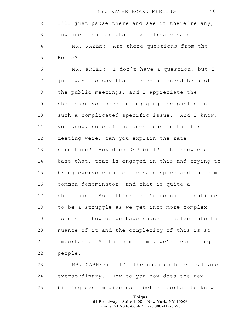| $\mathbf 1$     | 50<br>NYC WATER BOARD MEETING                                                                             |
|-----------------|-----------------------------------------------------------------------------------------------------------|
| 2               | I'll just pause there and see if there're any,                                                            |
| 3               | any questions on what I've already said.                                                                  |
| $\overline{4}$  | MR. NAZEM: Are there questions from the                                                                   |
| 5               | Board?                                                                                                    |
| 6               | MR. FREED: I don't have a question, but I                                                                 |
| $7\phantom{.0}$ | just want to say that I have attended both of                                                             |
| 8               | the public meetings, and I appreciate the                                                                 |
| $\mathsf 9$     | challenge you have in engaging the public on                                                              |
| 10              | such a complicated specific issue. And I know,                                                            |
| 11              | you know, some of the questions in the first                                                              |
| 12              | meeting were, can you explain the rate                                                                    |
| 13              | structure? How does DEP bill? The knowledge                                                               |
| 14              | base that, that is engaged in this and trying to                                                          |
| 15              | bring everyone up to the same speed and the same                                                          |
| 16              | common denominator, and that is quite a                                                                   |
| 17              | challenge. So I think that's going to continue                                                            |
| 18              | to be a struggle as we get into more complex                                                              |
| 19              | issues of how do we have space to delve into the                                                          |
| 20              | nuance of it and the complexity of this is so                                                             |
| 21              | important. At the same time, we're educating                                                              |
| 22              | people.                                                                                                   |
| 23              | MR. CARNEY: It's the nuances here that are                                                                |
| 24              | extraordinary. How do you-how does the new                                                                |
| 25              | billing system give us a better portal to know                                                            |
|                 | <b>Ubiqus</b><br>61 Broadway - Suite 1400 - New York, NY 10006<br>Phone: 212-346-6666 * Fax: 888-412-3655 |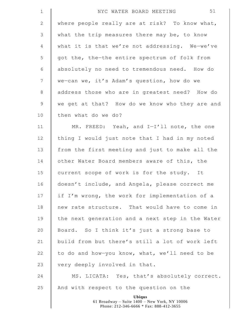| $\mathbf 1$     | 51<br>NYC WATER BOARD MEETING                                                                             |
|-----------------|-----------------------------------------------------------------------------------------------------------|
| $\mathbf{2}$    | where people really are at risk? To know what,                                                            |
| 3               | what the trip measures there may be, to know                                                              |
| $\overline{4}$  | what it is that we're not addressing. We-we've                                                            |
| 5               | got the, the-the entire spectrum of folk from                                                             |
| 6               | absolutely no need to tremendous need. How do                                                             |
| $7\phantom{.0}$ | we-can we, it's Adam's question, how do we                                                                |
| 8               | address those who are in greatest need? How do                                                            |
| $\mathsf 9$     | we get at that? How do we know who they are and                                                           |
| 10              | then what do we do?                                                                                       |
| 11              | MR. FREED: Yeah, and I-I'll note, the one                                                                 |
| 12              | thing I would just note that I had in my noted                                                            |
| 13              | from the first meeting and just to make all the                                                           |
| 14              | other Water Board members aware of this, the                                                              |
| 15              | current scope of work is for the study. It                                                                |
| 16              | doesn't include, and Angela, please correct me                                                            |
| 17              | if I'm wrong, the work for implementation of a                                                            |
| 18              | new rate structure. That would have to come in                                                            |
| 19              | the next generation and a next step in the Water                                                          |
| 20              | Board. So I think it's just a strong base to                                                              |
| 21              | build from but there's still a lot of work left                                                           |
| 22              | to do and how-you know, what, we'll need to be                                                            |
| 23              | very deeply involved in that.                                                                             |
| 24              | MS. LICATA: Yes, that's absolutely correct.                                                               |
| 25              | And with respect to the question on the                                                                   |
|                 | <b>Ubiqus</b><br>61 Broadway - Suite 1400 - New York, NY 10006<br>Phone: 212-346-6666 * Fax: 888-412-3655 |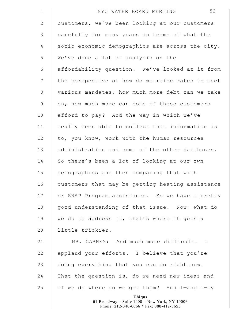| $\mathbf 1$    | 52<br>NYC WATER BOARD MEETING                                                                             |
|----------------|-----------------------------------------------------------------------------------------------------------|
| $\mathbf{2}$   | customers, we've been looking at our customers                                                            |
| 3              | carefully for many years in terms of what the                                                             |
| $\overline{4}$ | socio-economic demographics are across the city.                                                          |
| 5              | We've done a lot of analysis on the                                                                       |
| 6              | affordability question. We've looked at it from                                                           |
| $7\phantom{.}$ | the perspective of how do we raise rates to meet                                                          |
| $8\,$          | various mandates, how much more debt can we take                                                          |
| $\mathsf 9$    | on, how much more can some of these customers                                                             |
| 10             | afford to pay? And the way in which we've                                                                 |
| 11             | really been able to collect that information is                                                           |
| 12             | to, you know, work with the human resources                                                               |
| 13             | administration and some of the other databases.                                                           |
| 14             | So there's been a lot of looking at our own                                                               |
| 15             | demographics and then comparing that with                                                                 |
| 16             | customers that may be getting heating assistance                                                          |
| 17             | or SNAP Program assistance. So we have a pretty                                                           |
| 18             | good understanding of that issue. Now, what do                                                            |
| 19             | we do to address it, that's where it gets a                                                               |
| 20             | little trickier.                                                                                          |
| 21             | MR. CARNEY: And much more difficult. I                                                                    |
| 22             | applaud your efforts. I believe that you're                                                               |
| 23             | doing everything that you can do right now.                                                               |
| 24             | That-the question is, do we need new ideas and                                                            |
| 25             | if we do where do we get them? And I-and I-my                                                             |
|                | <b>Ubiqus</b><br>61 Broadway - Suite 1400 - New York, NY 10006<br>Phone: 212-346-6666 * Fax: 888-412-3655 |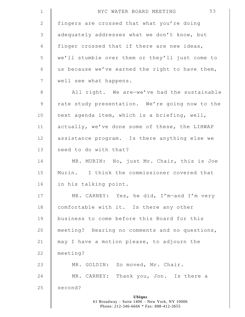| $\mathbf 1$  | 53<br>NYC WATER BOARD MEETING                   |
|--------------|-------------------------------------------------|
| $\mathbf{2}$ | fingers are crossed that what you're doing      |
| 3            | adequately addresses what we don't know, but    |
| 4            | finger crossed that if there are new ideas,     |
| 5            | we'll stumble over them or they'll just come to |
| 6            | us because we've earned the right to have them, |
| 7            | well see what happens.                          |
| $\,8\,$      | All right. We are-we've had the sustainable     |
| $\mathsf 9$  | rate study presentation. We're going now to the |
| 10           | next agenda item, which is a briefing, well,    |
| 11           | actually, we've done some of these, the LIHWAP  |
| 12           | assistance program. Is there anything else we   |
| 13           | need to do with that?                           |
| 14           | MR. MURIN: No, just Mr. Chair, this is Joe      |
| 15           | Murin. I think the commissioner covered that    |
| 16           | in his talking point.                           |
| 17           | MR. CARNEY: Yes, he did, I'm-and I'm very       |
| 18           | comfortable with it. Is there any other         |
| 19           | business to come before this Board for this     |
| 20           | meeting? Hearing no comments and no questions,  |
| 21           | may I have a motion please, to adjourn the      |
| 22           | meeting?                                        |
| 23           | MR. GOLDIN: So moved, Mr. Chair.                |
| 24           | MR. CARNEY: Thank you, Jon. Is there a          |
| 25           | second?                                         |
|              | Ubiqus                                          |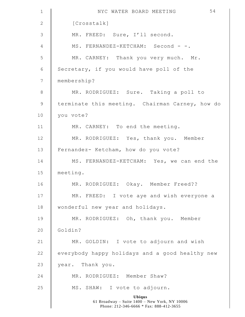| $\mathbf 1$    | 54<br>NYC WATER BOARD MEETING                                                                             |
|----------------|-----------------------------------------------------------------------------------------------------------|
| $\mathbf{2}$   | [Crosstalk]                                                                                               |
| $\mathfrak{Z}$ | MR. FREED: Sure, I'll second.                                                                             |
| $\overline{4}$ | MS. FERNANDEZ-KETCHAM: Second - -.                                                                        |
| 5              | MR. CARNEY: Thank you very much. Mr.                                                                      |
| $\epsilon$     | Secretary, if you would have poll of the                                                                  |
| $\overline{7}$ | membership?                                                                                               |
| $\,8\,$        | MR. RODRIGUEZ: Sure. Taking a poll to                                                                     |
| $\mathcal{G}$  | terminate this meeting. Chairman Carney, how do                                                           |
| 10             | you vote?                                                                                                 |
| 11             | MR. CARNEY: To end the meeting.                                                                           |
| 12             | MR. RODRIGUEZ: Yes, thank you. Member                                                                     |
| 13             | Fernandez- Ketcham, how do you vote?                                                                      |
| 14             | MS. FERNANDEZ-KETCHAM: Yes, we can end the                                                                |
| 15             | meeting.                                                                                                  |
| 16             | MR. RODRIGUEZ: Okay. Member Freed??                                                                       |
| 17             | MR. FREED: I vote aye and wish everyone a                                                                 |
| 18             | wonderful new year and holidays.                                                                          |
| 19             | MR. RODRIGUEZ: Oh, thank you. Member                                                                      |
| 20             | Goldin?                                                                                                   |
| 21             | MR. GOLDIN: I vote to adjourn and wish                                                                    |
| 22             | everybody happy holidays and a good healthy new                                                           |
| 23             | year. Thank you.                                                                                          |
| 24             | MR. RODRIGUEZ: Member Shaw?                                                                               |
| 25             | MS. SHAW: I vote to adjourn.                                                                              |
|                | <b>Ubiqus</b><br>61 Broadway - Suite 1400 - New York, NY 10006<br>Phone: 212-346-6666 * Fax: 888-412-3655 |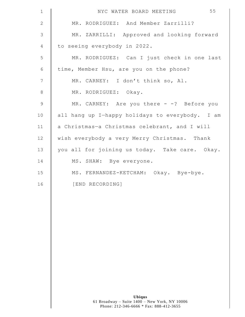| $\mathbf 1$    | 55<br>NYC WATER BOARD MEETING                   |
|----------------|-------------------------------------------------|
| 2              | MR. RODRIGUEZ: And Member Zarrilli?             |
| 3              | MR. ZARRILLI: Approved and looking forward      |
| 4              | to seeing everybody in 2022.                    |
| 5              | MR. RODRIGUEZ: Can I just check in one last     |
| 6              | time, Member Hsu, are you on the phone?         |
| $\overline{7}$ | MR. CARNEY: I don't think so, Al.               |
| 8              | MR. RODRIGUEZ: Okay.                            |
| $\mathsf 9$    | MR. CARNEY: Are you there $-$ -? Before you     |
| 10             | all hang up I-happy holidays to everybody. I am |
| 11             | a Christmas-a Christmas celebrant, and I will   |
| 12             | wish everybody a very Merry Christmas. Thank    |
| 13             | you all for joining us today. Take care. Okay.  |
| 14             | MS. SHAW: Bye everyone.                         |
| 15             | MS. FERNANDEZ-KETCHAM: Okay. Bye-bye.           |
| 16             | [END RECORDING]                                 |
|                |                                                 |